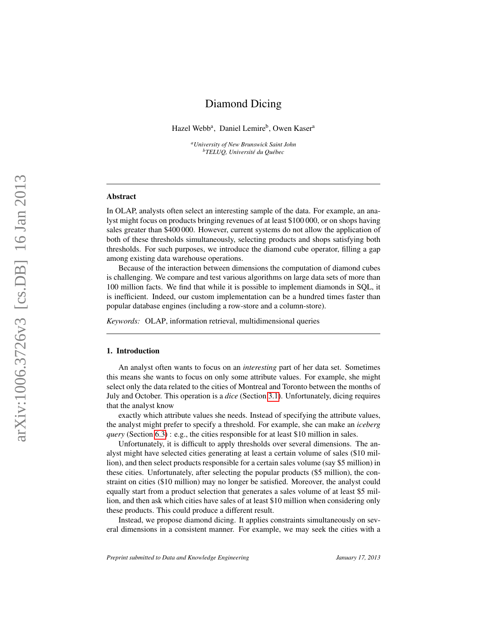# Diamond Dicing

<span id="page-0-0"></span>Hazel Webb<sup>a</sup>, Daniel Lemire<sup>b</sup>, Owen Kaser<sup>a</sup>

*<sup>a</sup>University of New Brunswick Saint John <sup>b</sup>TELUQ, Université du Québec*

### Abstract

In OLAP, analysts often select an interesting sample of the data. For example, an analyst might focus on products bringing revenues of at least \$100 000, or on shops having sales greater than \$400 000. However, current systems do not allow the application of both of these thresholds simultaneously, selecting products and shops satisfying both thresholds. For such purposes, we introduce the diamond cube operator, filling a gap among existing data warehouse operations.

Because of the interaction between dimensions the computation of diamond cubes is challenging. We compare and test various algorithms on large data sets of more than 100 million facts. We find that while it is possible to implement diamonds in SQL, it is inefficient. Indeed, our custom implementation can be a hundred times faster than popular database engines (including a row-store and a column-store).

*Keywords:* OLAP, information retrieval, multidimensional queries

### 1. Introduction

An analyst often wants to focus on an *interesting* part of her data set. Sometimes this means she wants to focus on only some attribute values. For example, she might select only the data related to the cities of Montreal and Toronto between the months of July and October. This operation is a *dice* (Section [3.1\)](#page-3-0). Unfortunately, dicing requires that the analyst know

exactly which attribute values she needs. Instead of specifying the attribute values, the analyst might prefer to specify a threshold. For example, she can make an *iceberg query* (Section [6.3\)](#page-22-0) : e.g., the cities responsible for at least \$10 million in sales.

Unfortunately, it is difficult to apply thresholds over several dimensions. The analyst might have selected cities generating at least a certain volume of sales (\$10 million), and then select products responsible for a certain sales volume (say \$5 million) in these cities. Unfortunately, after selecting the popular products (\$5 million), the constraint on cities (\$10 million) may no longer be satisfied. Moreover, the analyst could equally start from a product selection that generates a sales volume of at least \$5 million, and then ask which cities have sales of at least \$10 million when considering only these products. This could produce a different result.

Instead, we propose diamond dicing. It applies constraints simultaneously on several dimensions in a consistent manner. For example, we may seek the cities with a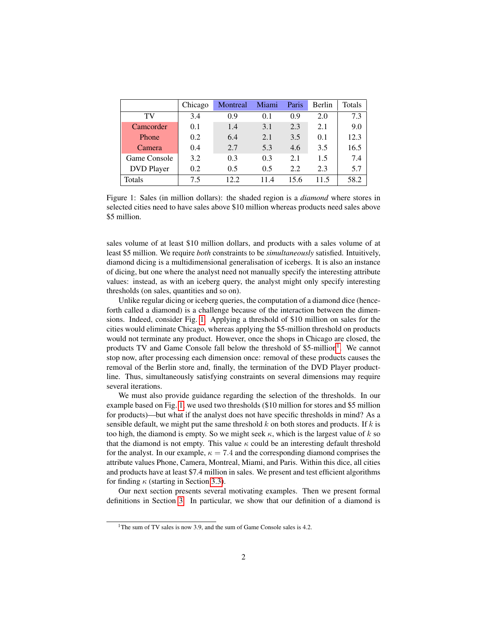<span id="page-1-0"></span>

|                   | Chicago | Montreal | Miami | Paris | <b>Berlin</b> | Totals |
|-------------------|---------|----------|-------|-------|---------------|--------|
| TV                | 3.4     | 0.9      | 0.1   | 0.9   | 2.0           | 7.3    |
| Camcorder         | 0.1     | 1.4      | 3.1   | 2.3   | 2.1           | 9.0    |
| Phone             | 0.2     | 6.4      | 2.1   | 3.5   | 0.1           | 12.3   |
| Camera            | 0.4     | 2.7      | 5.3   | 4.6   | 3.5           | 16.5   |
| Game Console      | 3.2     | 0.3      | 0.3   | 2.1   | 1.5           | 7.4    |
| <b>DVD</b> Player | 0.2     | 0.5      | 0.5   | 2.2   | 2.3           | 5.7    |
| Totals            | 75      | 12.2.    | 11.4  | 15.6  | 11.5          | 58.2   |

Figure 1: Sales (in million dollars): the shaded region is a *diamond* where stores in selected cities need to have sales above \$10 million whereas products need sales above \$5 million.

sales volume of at least \$10 million dollars, and products with a sales volume of at least \$5 million. We require *both* constraints to be *simultaneously* satisfied. Intuitively, diamond dicing is a multidimensional generalisation of icebergs. It is also an instance of dicing, but one where the analyst need not manually specify the interesting attribute values: instead, as with an iceberg query, the analyst might only specify interesting thresholds (on sales, quantities and so on).

Unlike regular dicing or iceberg queries, the computation of a diamond dice (henceforth called a diamond) is a challenge because of the interaction between the dimensions. Indeed, consider Fig. [1.](#page-1-0) Applying a threshold of \$10 million on sales for the cities would eliminate Chicago, whereas applying the \$5-million threshold on products would not terminate any product. However, once the shops in Chicago are closed, the products TV and Game Console fall below the threshold of \$5-million<sup>[1](#page-0-0)</sup>. We cannot stop now, after processing each dimension once: removal of these products causes the removal of the Berlin store and, finally, the termination of the DVD Player productline. Thus, simultaneously satisfying constraints on several dimensions may require several iterations.

We must also provide guidance regarding the selection of the thresholds. In our example based on Fig. [1,](#page-1-0) we used two thresholds (\$10 million for stores and \$5 million for products)—but what if the analyst does not have specific thresholds in mind? As a sensible default, we might put the same threshold  $k$  on both stores and products. If  $k$  is too high, the diamond is empty. So we might seek  $\kappa$ , which is the largest value of k so that the diamond is not empty. This value  $\kappa$  could be an interesting default threshold for the analyst. In our example,  $\kappa = 7.4$  and the corresponding diamond comprises the attribute values Phone, Camera, Montreal, Miami, and Paris. Within this dice, all cities and products have at least \$7.4 million in sales. We present and test efficient algorithms for finding  $\kappa$  (starting in Section [3.3\)](#page-6-0).

Our next section presents several motivating examples. Then we present formal definitions in Section [3.](#page-3-1) In particular, we show that our definition of a diamond is

<sup>&</sup>lt;sup>1</sup>The sum of TV sales is now 3.9, and the sum of Game Console sales is 4.2.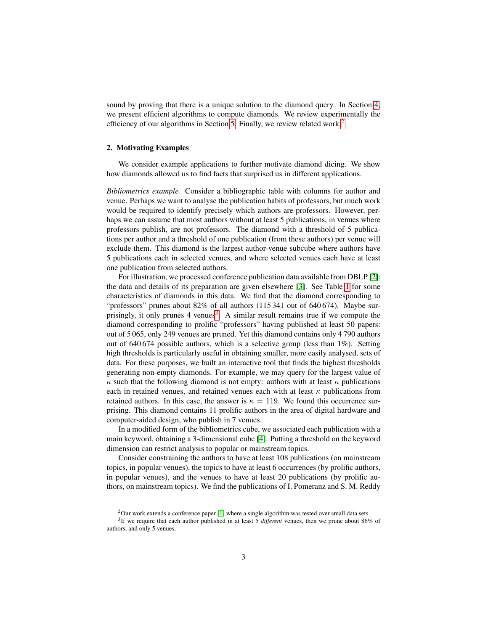sound by proving that there is a unique solution to the diamond query. In Section [4,](#page-7-0) we present efficient algorithms to compute diamonds. We review experimentally the efficiency of our algorithms in Section [5.](#page-12-0) Finally, we review related work.<sup>[2](#page-0-0)</sup>

# 2. Motivating Examples

We consider example applications to further motivate diamond dicing. We show how diamonds allowed us to find facts that surprised us in different applications.

*Bibliometrics example.* Consider a bibliographic table with columns for author and venue. Perhaps we want to analyse the publication habits of professors, but much work would be required to identify precisely which authors are professors. However, perhaps we can assume that most authors without at least 5 publications, in venues where professors publish, are not professors. The diamond with a threshold of 5 publications per author and a threshold of one publication (from these authors) per venue will exclude them. This diamond is the largest author-venue subcube where authors have 5 publications each in selected venues, and where selected venues each have at least one publication from selected authors.

For illustration, we processed conference publication data available from DBLP [\[2\]](#page-24-0); the data and details of its preparation are given elsewhere [\[3\]](#page-24-1). See Table [1](#page-3-2) for some characteristics of diamonds in this data. We find that the diamond corresponding to "professors" prunes about 82% of all authors (115 341 out of 640 674). Maybe sur-prisingly, it only prunes 4 venues<sup>[3](#page-0-0)</sup>. A similar result remains true if we compute the diamond corresponding to prolific "professors" having published at least 50 papers: out of 5 065, only 249 venues are pruned. Yet this diamond contains only 4 790 authors out of 640 674 possible authors, which is a selective group (less than  $1\%$ ). Setting high thresholds is particularly useful in obtaining smaller, more easily analysed, sets of data. For these purposes, we built an interactive tool that finds the highest thresholds generating non-empty diamonds. For example, we may query for the largest value of  $\kappa$  such that the following diamond is not empty: authors with at least  $\kappa$  publications each in retained venues, and retained venues each with at least  $\kappa$  publications from retained authors. In this case, the answer is  $\kappa = 119$ . We found this occurrence surprising. This diamond contains 11 prolific authors in the area of digital hardware and computer-aided design, who publish in 7 venues.

In a modified form of the bibliometrics cube, we associated each publication with a main keyword, obtaining a 3-dimensional cube [\[4\]](#page-24-2). Putting a threshold on the keyword dimension can restrict analysis to popular or mainstream topics.

Consider constraining the authors to have at least 108 publications (on mainstream topics, in popular venues), the topics to have at least 6 occurrences (by prolific authors, in popular venues), and the venues to have at least 20 publications (by prolific authors, on mainstream topics). We find the publications of I. Pomeranz and S. M. Reddy

<sup>&</sup>lt;sup>2</sup>Our work extends a conference paper [\[1\]](#page-24-3) where a single algorithm was tested over small data sets.

<sup>3</sup> If we require that each author published in at least 5 *different* venues, then we prune about 86% of authors, and only 5 venues.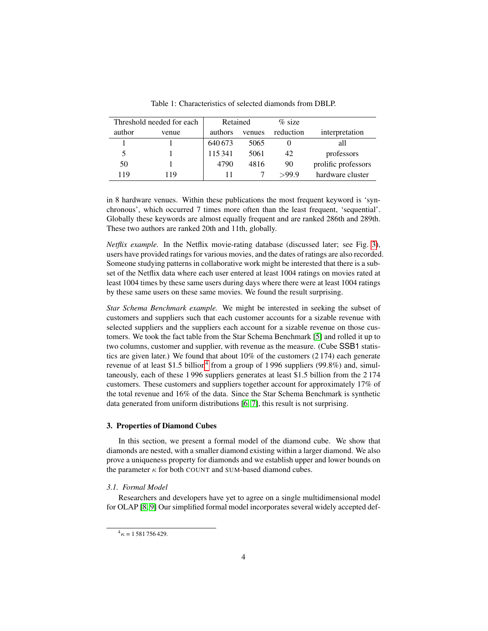<span id="page-3-2"></span>

| Threshold needed for each |       |         | Retained |           |                     |
|---------------------------|-------|---------|----------|-----------|---------------------|
| author                    | venue | authors | venues   | reduction | interpretation      |
|                           |       | 640673  | 5065     |           | all                 |
| 5                         |       | 115341  | 5061     | 42        | professors          |
| 50                        |       | 4790    | 4816     | 90        | prolific professors |
| 119                       | l 19  |         |          | >999      | hardware cluster    |

Table 1: Characteristics of selected diamonds from DBLP.

in 8 hardware venues. Within these publications the most frequent keyword is 'synchronous', which occurred 7 times more often than the least frequent, 'sequential'. Globally these keywords are almost equally frequent and are ranked 286th and 289th. These two authors are ranked 20th and 11th, globally.

*Netflix example.* In the Netflix movie-rating database (discussed later; see Fig. [3\)](#page-5-0), users have provided ratings for various movies, and the dates of ratings are also recorded. Someone studying patterns in collaborative work might be interested that there is a subset of the Netflix data where each user entered at least 1004 ratings on movies rated at least 1004 times by these same users during days where there were at least 1004 ratings by these same users on these same movies. We found the result surprising.

*Star Schema Benchmark example.* We might be interested in seeking the subset of customers and suppliers such that each customer accounts for a sizable revenue with selected suppliers and the suppliers each account for a sizable revenue on those customers. We took the fact table from the Star Schema Benchmark [\[5\]](#page-25-0) and rolled it up to two columns, customer and supplier, with revenue as the measure. (Cube SSB1 statistics are given later.) We found that about 10% of the customers (2 174) each generate revenue of at least \$1.5 billion<sup>[4](#page-0-0)</sup> from a group of 1996 suppliers (99.8%) and, simultaneously, each of these 1 996 suppliers generates at least \$1.5 billion from the 2 174 customers. These customers and suppliers together account for approximately 17% of the total revenue and 16% of the data. Since the Star Schema Benchmark is synthetic data generated from uniform distributions [\[6,](#page-25-1) [7\]](#page-25-2), this result is not surprising.

# <span id="page-3-1"></span>3. Properties of Diamond Cubes

In this section, we present a formal model of the diamond cube. We show that diamonds are nested, with a smaller diamond existing within a larger diamond. We also prove a uniqueness property for diamonds and we establish upper and lower bounds on the parameter  $\kappa$  for both COUNT and SUM-based diamond cubes.

# <span id="page-3-0"></span>*3.1. Formal Model*

Researchers and developers have yet to agree on a single multidimensional model for OLAP [\[8,](#page-25-3) [9\]](#page-25-4) Our simplified formal model incorporates several widely accepted def-

 $^{4}$  $\kappa$  = 1 581 756 429.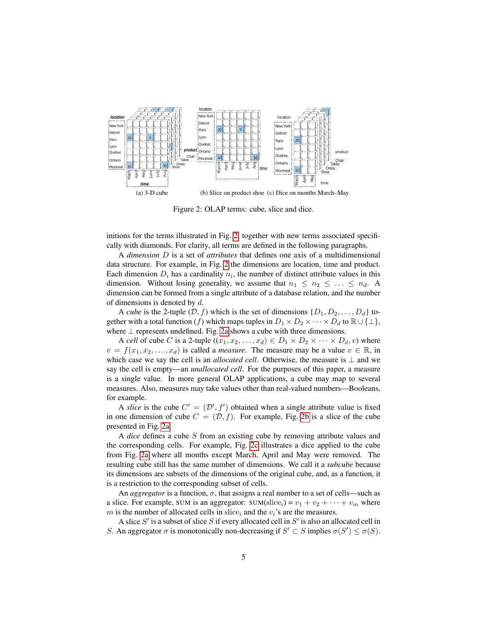<span id="page-4-1"></span><span id="page-4-0"></span>

<span id="page-4-3"></span><span id="page-4-2"></span>Figure 2: OLAP terms: cube, slice and dice.

initions for the terms illustrated in Fig. [2,](#page-4-0) together with new terms associated specifically with diamonds. For clarity, all terms are defined in the following paragraphs.

A *dimension* D is a set of *attributes* that defines one axis of a multidimensional data structure. For example, in Fig. [2](#page-4-0) the dimensions are location, time and product. Each dimension  $D_i$  has a cardinality  $n_i$ , the number of distinct attribute values in this dimension. Without losing generality, we assume that  $n_1 \leq n_2 \leq \ldots \leq n_d$ . A dimension can be formed from a single attribute of a database relation, and the number of dimensions is denoted by  $d$ .

A *cube* is the 2-tuple  $(D, f)$  which is the set of dimensions  $\{D_1, D_2, \ldots, D_d\}$  together with a total function (f) which maps tuples in  $D_1 \times D_2 \times \cdots \times D_d$  to  $\mathbb{R} \cup \{\perp\},$ where ⊥ represents undefined. Fig. [2a](#page-4-1) shows a cube with three dimensions.

A *cell* of cube C is a 2-tuple  $((x_1, x_2, ..., x_d) \in D_1 \times D_2 \times \cdots \times D_d, v)$  where  $v = f(x_1, x_2, \ldots, x_d)$  is called a *measure*. The measure may be a value  $v \in \mathbb{R}$ , in which case we say the cell is an *allocated cell*. Otherwise, the measure is ⊥ and we say the cell is empty—an *unallocated cell*. For the purposes of this paper, a measure is a single value. In more general OLAP applications, a cube may map to several measures. Also, measures may take values other than real-valued numbers—Booleans, for example.

A *slice* is the cube  $C' = (\mathcal{D}', f')$  obtained when a single attribute value is fixed in one dimension of cube  $C = (\mathcal{D}, f)$ . For example, Fig. [2b](#page-4-2) is a slice of the cube presented in Fig. [2a.](#page-4-1)

A *dice* defines a cube S from an existing cube by removing attribute values and the corresponding cells. For example, Fig. [2c](#page-4-3) illustrates a dice applied to the cube from Fig. [2a](#page-4-1) where all months except March, April and May were removed. The resulting cube still has the same number of dimensions. We call it a *subcube* because its dimensions are subsets of the dimensions of the original cube, and, as a function, it is a restriction to the corresponding subset of cells.

An *aggregator* is a function,  $\sigma$ , that assigns a real number to a set of cells—such as a slice. For example, SUM is an aggregator: SUM(slice<sub>i</sub>) =  $v_1 + v_2 + \cdots + v_m$  where m is the number of allocated cells in slice<sub>i</sub> and the  $v_i$ 's are the measures.

A slice  $S'$  is a subset of slice  $S$  if every allocated cell in  $S'$  is also an allocated cell in S. An aggregator  $\sigma$  is monotonically non-decreasing if  $S' \subset S$  implies  $\sigma(S') \leq \sigma(S)$ .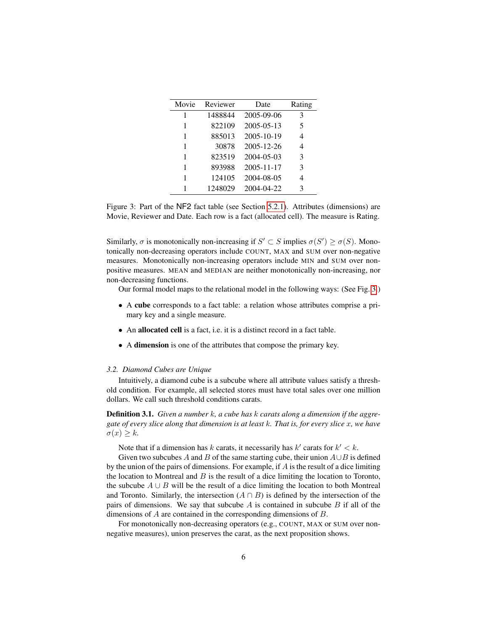<span id="page-5-0"></span>

| Movie | Reviewer | Date             | Rating |
|-------|----------|------------------|--------|
| 1     | 1488844  | 2005-09-06       | 3      |
| 1     | 822109   | $2005 - 05 - 13$ | 5      |
| 1     | 885013   | 2005-10-19       | 4      |
| 1     | 30878    | 2005-12-26       | 4      |
| 1     | 823519   | 2004-05-03       | 3      |
| 1     | 893988   | $2005 - 11 - 17$ | 3      |
|       | 124105   | 2004-08-05       | 4      |
|       | 1248029  | 2004-04-22       | 3      |

Figure 3: Part of the NF2 fact table (see Section [5.2.1\)](#page-13-0). Attributes (dimensions) are Movie, Reviewer and Date. Each row is a fact (allocated cell). The measure is Rating.

Similarly,  $\sigma$  is monotonically non-increasing if  $S' \subset S$  implies  $\sigma(S') \geq \sigma(S)$ . Monotonically non-decreasing operators include COUNT, MAX and SUM over non-negative measures. Monotonically non-increasing operators include MIN and SUM over nonpositive measures. MEAN and MEDIAN are neither monotonically non-increasing, nor non-decreasing functions.

Our formal model maps to the relational model in the following ways: (See Fig. [3.](#page-5-0))

- A cube corresponds to a fact table: a relation whose attributes comprise a primary key and a single measure.
- An allocated cell is a fact, i.e. it is a distinct record in a fact table.
- A dimension is one of the attributes that compose the primary key.

#### *3.2. Diamond Cubes are Unique*

Intuitively, a diamond cube is a subcube where all attribute values satisfy a threshold condition. For example, all selected stores must have total sales over one million dollars. We call such threshold conditions carats.

Definition 3.1. *Given a number* k*, a cube has* k *carats along a dimension if the aggregate of every slice along that dimension is at least* k*. That is, for every slice* x*, we have*  $\sigma(x) \geq k$ .

Note that if a dimension has k carats, it necessarily has  $k'$  carats for  $k' < k$ .

Given two subcubes A and B of the same starting cube, their union  $A \cup B$  is defined by the union of the pairs of dimensions. For example, if  $\vec{A}$  is the result of a dice limiting the location to Montreal and  $B$  is the result of a dice limiting the location to Toronto, the subcube  $A \cup B$  will be the result of a dice limiting the location to both Montreal and Toronto. Similarly, the intersection  $(A \cap B)$  is defined by the intersection of the pairs of dimensions. We say that subcube  $\vec{A}$  is contained in subcube  $\vec{B}$  if all of the dimensions of A are contained in the corresponding dimensions of B.

<span id="page-5-1"></span>For monotonically non-decreasing operators (e.g., COUNT, MAX or SUM over nonnegative measures), union preserves the carat, as the next proposition shows.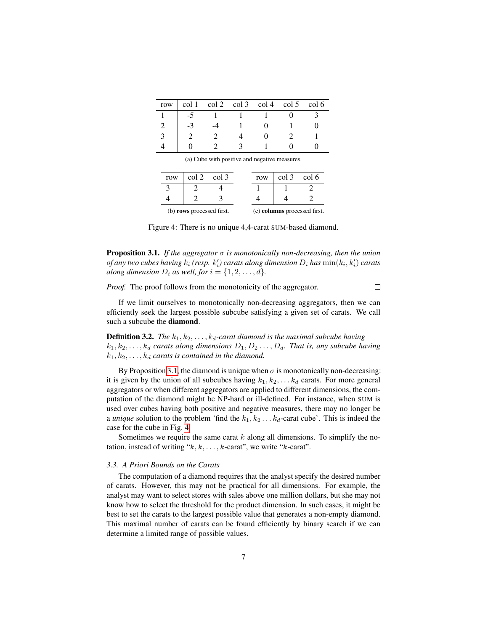<span id="page-6-1"></span>

| row | $col 1 \quad col 2 \quad col 3 \quad col 4 \quad col 5 \quad col 6$ |  |  |
|-----|---------------------------------------------------------------------|--|--|
|     |                                                                     |  |  |
|     |                                                                     |  |  |
|     |                                                                     |  |  |
|     |                                                                     |  |  |

| row |                           | col 2 col 3 | row |                              | $col 3 \text{ col } 6$ |
|-----|---------------------------|-------------|-----|------------------------------|------------------------|
|     |                           |             |     |                              |                        |
|     |                           |             |     |                              |                        |
|     | (b) rows processed first. |             |     | (c) columns processed first. |                        |

(a) Cube with positive and negative measures.

Figure 4: There is no unique 4,4-carat SUM-based diamond.

Proposition 3.1. *If the aggregator* σ *is monotonically non-decreasing, then the union of any two cubes having*  $k_i$  *(resp.*  $k_i'$ *) carats along dimension*  $D_i$  *has*  $\min(k_i,k_i')$  *carats along dimension*  $D_i$  *as well, for*  $i = \{1, 2, \ldots, d\}.$ 

 $\Box$ 

*Proof.* The proof follows from the monotonicity of the aggregator.

If we limit ourselves to monotonically non-decreasing aggregators, then we can efficiently seek the largest possible subcube satisfying a given set of carats. We call such a subcube the diamond.

**Definition 3.2.** *The*  $k_1, k_2, \ldots, k_d$ -carat diamond is the maximal subcube having  $k_1, k_2, \ldots, k_d$  carats along dimensions  $D_1, D_2, \ldots, D_d$ . That is, any subcube having  $k_1, k_2, \ldots, k_d$  carats is contained in the diamond.

By Proposition [3.1,](#page-5-1) the diamond is unique when  $\sigma$  is monotonically non-decreasing: it is given by the union of all subcubes having  $k_1, k_2, \ldots k_d$  carats. For more general aggregators or when different aggregators are applied to different dimensions, the computation of the diamond might be NP-hard or ill-defined. For instance, when SUM is used over cubes having both positive and negative measures, there may no longer be a *unique* solution to the problem 'find the  $k_1, k_2, \ldots k_d$ -carat cube'. This is indeed the case for the cube in Fig. [4.](#page-6-1)

Sometimes we require the same carat  $k$  along all dimensions. To simplify the notation, instead of writing " $k, k, \ldots, k$ -carat", we write " $k$ -carat".

### <span id="page-6-0"></span>*3.3. A Priori Bounds on the Carats*

The computation of a diamond requires that the analyst specify the desired number of carats. However, this may not be practical for all dimensions. For example, the analyst may want to select stores with sales above one million dollars, but she may not know how to select the threshold for the product dimension. In such cases, it might be best to set the carats to the largest possible value that generates a non-empty diamond. This maximal number of carats can be found efficiently by binary search if we can determine a limited range of possible values.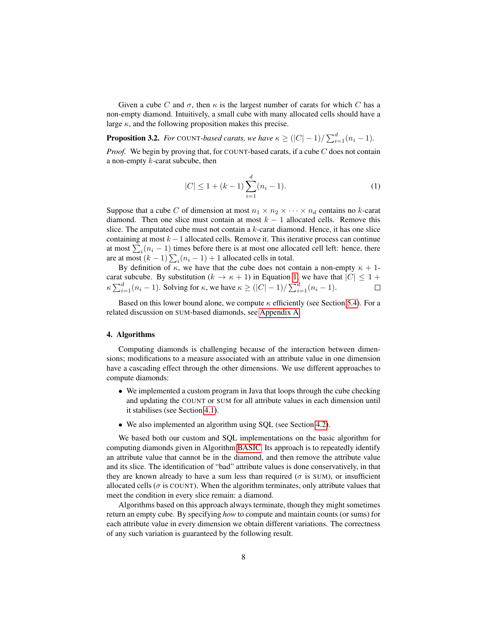Given a cube C and  $\sigma$ , then  $\kappa$  is the largest number of carats for which C has a non-empty diamond. Intuitively, a small cube with many allocated cells should have a large  $\kappa$ , and the following proposition makes this precise.

<span id="page-7-2"></span>**Proposition 3.2.** *For* COUNT-based carats, we have  $\kappa \geq (|C|-1)/\sum_{i=1}^{d} (n_i-1)$ .

*Proof.* We begin by proving that, for COUNT-based carats, if a cube  $C$  does not contain a non-empty  $k$ -carat subcube, then

<span id="page-7-1"></span>
$$
|C| \le 1 + (k - 1) \sum_{i=1}^{d} (n_i - 1).
$$
 (1)

Suppose that a cube C of dimension at most  $n_1 \times n_2 \times \cdots \times n_d$  contains no k-carat diamond. Then one slice must contain at most  $k - 1$  allocated cells. Remove this slice. The amputated cube must not contain a  $k$ -carat diamond. Hence, it has one slice containing at most  $k - 1$  allocated cells. Remove it. This iterative process can continue at most  $\sum_i (n_i - 1)$  times before there is at most one allocated cell left: hence, there are at most  $(k-1)\sum_i(n_i-1) + 1$  allocated cells in total.

By definition of  $\kappa$ , we have that the cube does not contain a non-empty  $\kappa + 1$ carat subcube. By substitution ( $k \to \kappa + 1$ ) in Equation [1,](#page-7-1) we have that  $|C| \leq 1 +$  $\kappa \sum_{i=1}^d (n_i - 1)$ . Solving for  $\kappa$ , we have  $\kappa \geq (|C| - 1)/\sum_{i=1}^d (n_i - 1)$ .

Based on this lower bound alone, we compute  $\kappa$  efficiently (see Section [5.4\)](#page-16-0). For a related discussion on SUM-based diamonds, see [Appendix A.](#page-27-0)

#### <span id="page-7-0"></span>4. Algorithms

Computing diamonds is challenging because of the interaction between dimensions; modifications to a measure associated with an attribute value in one dimension have a cascading effect through the other dimensions. We use different approaches to compute diamonds:

- We implemented a custom program in Java that loops through the cube checking and updating the COUNT or SUM for all attribute values in each dimension until it stabilises (see Section [4.1\)](#page-8-0).
- We also implemented an algorithm using SQL (see Section [4.2\)](#page-9-0).

We based both our custom and SQL implementations on the basic algorithm for computing diamonds given in Algorithm [BASIC.](#page-8-1) Its approach is to repeatedly identify an attribute value that cannot be in the diamond, and then remove the attribute value and its slice. The identification of "bad" attribute values is done conservatively, in that they are known already to have a sum less than required ( $\sigma$  is SUM), or insufficient allocated cells ( $\sigma$  is COUNT). When the algorithm terminates, only attribute values that meet the condition in every slice remain: a diamond.

Algorithms based on this approach always terminate, though they might sometimes return an empty cube. By specifying *how* to compute and maintain counts (or sums) for each attribute value in every dimension we obtain different variations. The correctness of any such variation is guaranteed by the following result.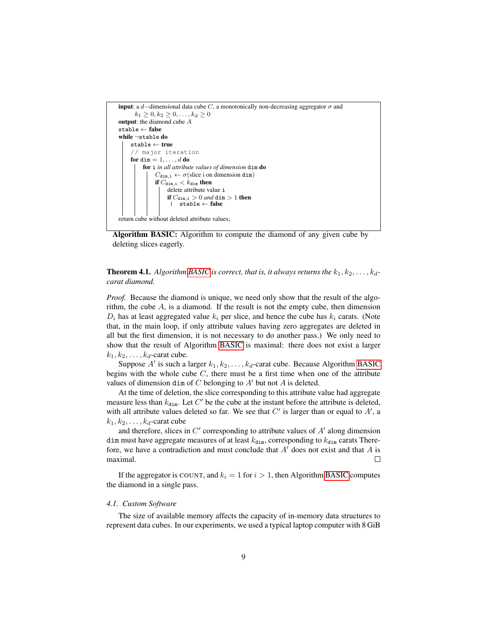

<span id="page-8-1"></span>Algorithm BASIC: Algorithm to compute the diamond of any given cube by deleting slices eagerly.

# **Theorem 4.1.** Algorithm [BASIC](#page-8-1) is correct, that is, it always returns the  $k_1, k_2, \ldots, k_d$ *carat diamond.*

*Proof.* Because the diamond is unique, we need only show that the result of the algorithm, the cube  $A$ , is a diamond. If the result is not the empty cube, then dimension  $D_i$  has at least aggregated value  $k_i$  per slice, and hence the cube has  $k_i$  carats. (Note that, in the main loop, if only attribute values having zero aggregates are deleted in all but the first dimension, it is not necessary to do another pass.) We only need to show that the result of Algorithm [BASIC](#page-8-1) is maximal: there does not exist a larger  $k_1, k_2, \ldots, k_d$ -carat cube.

Suppose  $A'$  is such a larger  $k_1, k_2, \ldots, k_d$ -carat cube. Because Algorithm [BASIC](#page-8-1) begins with the whole cube  $C$ , there must be a first time when one of the attribute values of dimension dim of  $C$  belonging to  $A'$  but not  $A$  is deleted.

At the time of deletion, the slice corresponding to this attribute value had aggregate measure less than  $k_{\text{dim}}$ . Let C' be the cube at the instant before the attribute is deleted, with all attribute values deleted so far. We see that  $C'$  is larger than or equal to  $A'$ , a  $k_1, k_2, \ldots, k_d$ -carat cube

and therefore, slices in  $C'$  corresponding to attribute values of  $A'$  along dimension dim must have aggregate measures of at least  $k_{\text{dim}}$ , corresponding to  $k_{\text{dim}}$  carats Therefore, we have a contradiction and must conclude that  $A'$  does not exist and that  $A$  is maximal.  $\Box$ 

If the aggregator is COUNT, and  $k_i = 1$  for  $i > 1$ , then Algorithm [BASIC](#page-8-1) computes the diamond in a single pass.

# <span id="page-8-0"></span>*4.1. Custom Software*

The size of available memory affects the capacity of in-memory data structures to represent data cubes. In our experiments, we used a typical laptop computer with 8 GiB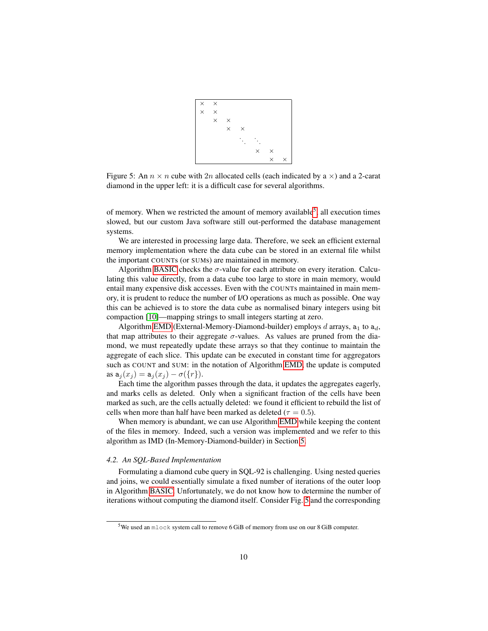

<span id="page-9-1"></span>Figure 5: An  $n \times n$  cube with 2n allocated cells (each indicated by a  $\times$ ) and a 2-carat diamond in the upper left: it is a difficult case for several algorithms.

of memory. When we restricted the amount of memory available<sup>[5](#page-0-0)</sup>, all execution times slowed, but our custom Java software still out-performed the database management systems.

We are interested in processing large data. Therefore, we seek an efficient external memory implementation where the data cube can be stored in an external file whilst the important COUNTs (or SUMs) are maintained in memory.

Algorithm [BASIC](#page-8-1) checks the  $\sigma$ -value for each attribute on every iteration. Calculating this value directly, from a data cube too large to store in main memory, would entail many expensive disk accesses. Even with the COUNTs maintained in main memory, it is prudent to reduce the number of I/O operations as much as possible. One way this can be achieved is to store the data cube as normalised binary integers using bit compaction [\[10\]](#page-25-5)—mapping strings to small integers starting at zero.

Algorithm [EMD](#page-10-0) (External-Memory-Diamond-builder) employs  $d$  arrays,  $a_1$  to  $a_d$ , that map attributes to their aggregate  $\sigma$ -values. As values are pruned from the diamond, we must repeatedly update these arrays so that they continue to maintain the aggregate of each slice. This update can be executed in constant time for aggregators such as COUNT and SUM: in the notation of Algorithm [EMD,](#page-10-0) the update is computed as  $a_j(x_j) = a_j(x_j) - \sigma({r}).$ 

Each time the algorithm passes through the data, it updates the aggregates eagerly, and marks cells as deleted. Only when a significant fraction of the cells have been marked as such, are the cells actually deleted: we found it efficient to rebuild the list of cells when more than half have been marked as deleted ( $\tau = 0.5$ ).

When memory is abundant, we can use Algorithm [EMD](#page-10-0) while keeping the content of the files in memory. Indeed, such a version was implemented and we refer to this algorithm as IMD (In-Memory-Diamond-builder) in Section [5.](#page-12-0)

# <span id="page-9-0"></span>*4.2. An SQL-Based Implementation*

Formulating a diamond cube query in SQL-92 is challenging. Using nested queries and joins, we could essentially simulate a fixed number of iterations of the outer loop in Algorithm [BASIC.](#page-8-1) Unfortunately, we do not know how to determine the number of iterations without computing the diamond itself. Consider Fig. [5](#page-9-1) and the corresponding

<sup>5</sup>We used an mlock system call to remove 6 GiB of memory from use on our 8 GiB computer.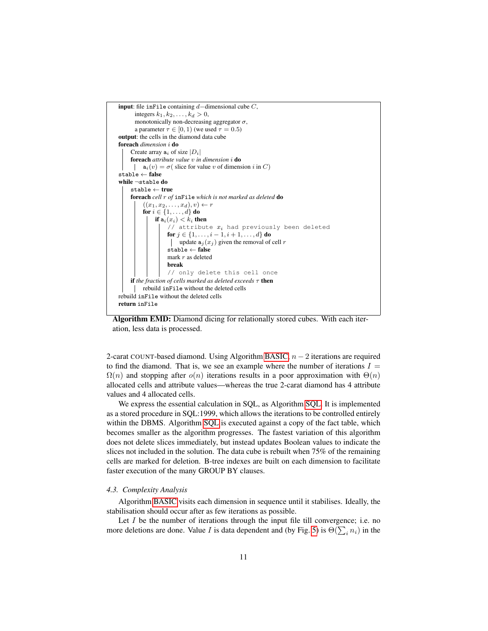

<span id="page-10-0"></span>Algorithm EMD: Diamond dicing for relationally stored cubes. With each iteration, less data is processed.

2-carat COUNT-based diamond. Using Algorithm [BASIC,](#page-8-1)  $n - 2$  iterations are required to find the diamond. That is, we see an example where the number of iterations  $I =$  $\Omega(n)$  and stopping after  $o(n)$  iterations results in a poor approximation with  $\Theta(n)$ allocated cells and attribute values—whereas the true 2-carat diamond has 4 attribute values and 4 allocated cells.

We express the essential calculation in SQL, as Algorithm [SQL.](#page-11-0) It is implemented as a stored procedure in SQL:1999, which allows the iterations to be controlled entirely within the DBMS. Algorithm [SQL](#page-11-0) is executed against a copy of the fact table, which becomes smaller as the algorithm progresses. The fastest variation of this algorithm does not delete slices immediately, but instead updates Boolean values to indicate the slices not included in the solution. The data cube is rebuilt when 75% of the remaining cells are marked for deletion. B-tree indexes are built on each dimension to facilitate faster execution of the many GROUP BY clauses.

# <span id="page-10-1"></span>*4.3. Complexity Analysis*

Algorithm [BASIC](#page-8-1) visits each dimension in sequence until it stabilises. Ideally, the stabilisation should occur after as few iterations as possible.

Let  $I$  be the number of iterations through the input file till convergence; i.e. no more deletions are done. Value *I* is data dependent and (by Fig. [5\)](#page-9-1) is  $\Theta(\sum_i n_i)$  in the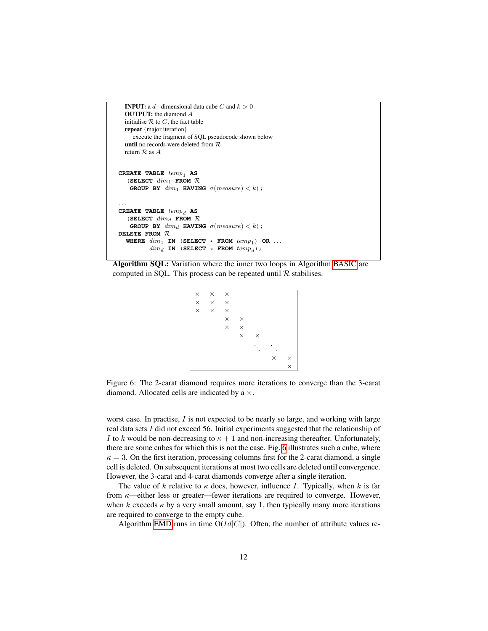```
INPUT: a d–dimensional data cube C and k > 0OUTPUT: the diamond A
  initialise R to C, the fact table
  repeat {major iteration}
     execute the fragment of SQL pseudocode shown below
  until no records were deleted from R
  return R as ACREATE TABLE temp_1 AS
   (SELECT dim_1 FROM \mathcal{R}GROUP BY dim_1 HAVING \sigma(measure) < k;
. . .
\mathbf{C}\mathbf{REATE} TABLE temp_d AS
   (SELECT dim_d FROM \mathcal{R}GROUP BY dim_d HAVING \sigma(measure) < k);
DELETE FROM R
  WHERE dim_1 IN (SELECT \star FROM temp_1) OR ...
```
 $dim_d$  **IN** (**SELECT** \* **FROM**  $temp_d$ );

<span id="page-11-1"></span><span id="page-11-0"></span>Algorithm SQL: Variation where the inner two loops in Algorithm [BASIC](#page-8-1) are computed in SQL. This process can be repeated until  $\mathcal R$  stabilises.

```
\times \times \times\times \times\times \hspace{1.5mm}\times \hspace{1.5mm}\times \hspace{1.5mm}\times× ×
                            \times \phantom{00000}\times\times.
                                                             .
                                                               .
                                                                           .
                                                                             .
                                                                                .
                                                                                           \times×
```
Figure 6: The 2-carat diamond requires more iterations to converge than the 3-carat diamond. Allocated cells are indicated by a  $\times$ .

worst case. In practise, I is not expected to be nearly so large, and working with large real data sets I did not exceed 56. Initial experiments suggested that the relationship of I to k would be non-decreasing to  $\kappa + 1$  and non-increasing thereafter. Unfortunately, there are some cubes for which this is not the case. Fig. [6](#page-11-1) illustrates such a cube, where  $\kappa = 3$ . On the first iteration, processing columns first for the 2-carat diamond, a single cell is deleted. On subsequent iterations at most two cells are deleted until convergence. However, the 3-carat and 4-carat diamonds converge after a single iteration.

The value of k relative to  $\kappa$  does, however, influence *I*. Typically, when k is far from  $\kappa$ —either less or greater—fewer iterations are required to converge. However, when k exceeds  $\kappa$  by a very small amount, say 1, then typically many more iterations are required to converge to the empty cube.

Algorithm [EMD](#page-10-0) runs in time  $O(Id|C|)$ . Often, the number of attribute values re-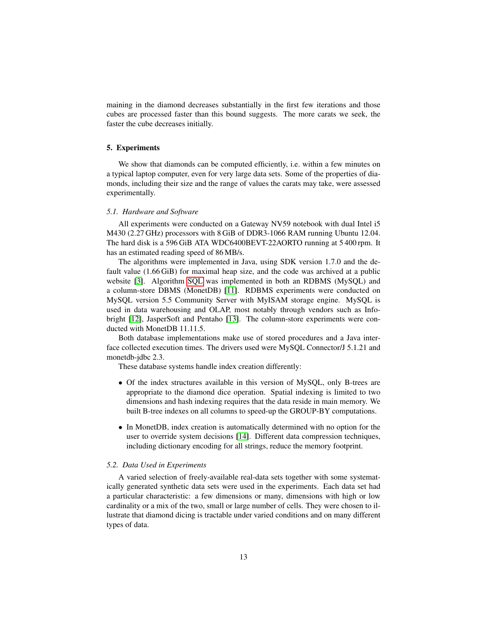maining in the diamond decreases substantially in the first few iterations and those cubes are processed faster than this bound suggests. The more carats we seek, the faster the cube decreases initially.

# <span id="page-12-0"></span>5. Experiments

We show that diamonds can be computed efficiently, i.e. within a few minutes on a typical laptop computer, even for very large data sets. Some of the properties of diamonds, including their size and the range of values the carats may take, were assessed experimentally.

#### *5.1. Hardware and Software*

All experiments were conducted on a Gateway NV59 notebook with dual Intel i5 M430 (2.27 GHz) processors with 8 GiB of DDR3-1066 RAM running Ubuntu 12.04. The hard disk is a 596 GiB ATA WDC6400BEVT-22AORTO running at 5 400 rpm. It has an estimated reading speed of 86 MB/s.

The algorithms were implemented in Java, using SDK version 1.7.0 and the default value (1.66 GiB) for maximal heap size, and the code was archived at a public website [\[3\]](#page-24-1). Algorithm [SQL](#page-11-0) was implemented in both an RDBMS (MySQL) and a column-store DBMS (MonetDB) [\[11\]](#page-25-6). RDBMS experiments were conducted on MySQL version 5.5 Community Server with MyISAM storage engine. MySQL is used in data warehousing and OLAP, most notably through vendors such as Infobright [\[12\]](#page-25-7), JasperSoft and Pentaho [\[13\]](#page-25-8). The column-store experiments were conducted with MonetDB 11.11.5.

Both database implementations make use of stored procedures and a Java interface collected execution times. The drivers used were MySQL Connector/J 5.1.21 and monetdb-jdbc 2.3.

These database systems handle index creation differently:

- Of the index structures available in this version of MySQL, only B-trees are appropriate to the diamond dice operation. Spatial indexing is limited to two dimensions and hash indexing requires that the data reside in main memory. We built B-tree indexes on all columns to speed-up the GROUP-BY computations.
- In MonetDB, index creation is automatically determined with no option for the user to override system decisions [\[14\]](#page-25-9). Different data compression techniques, including dictionary encoding for all strings, reduce the memory footprint.

# *5.2. Data Used in Experiments*

A varied selection of freely-available real-data sets together with some systematically generated synthetic data sets were used in the experiments. Each data set had a particular characteristic: a few dimensions or many, dimensions with high or low cardinality or a mix of the two, small or large number of cells. They were chosen to illustrate that diamond dicing is tractable under varied conditions and on many different types of data.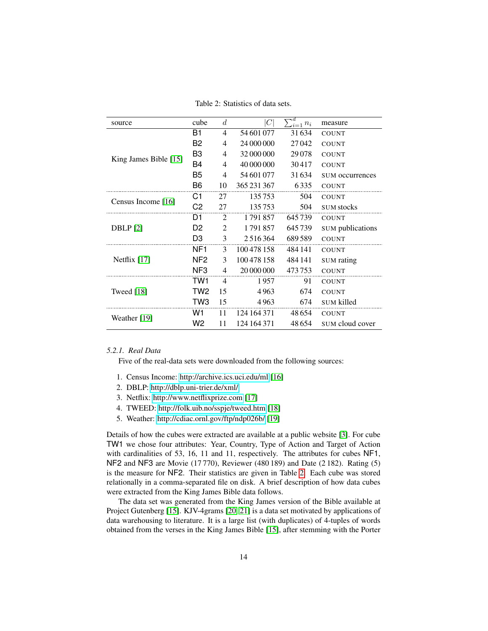Table 2: Statistics of data sets.

<span id="page-13-1"></span>

| source                | cube            | $\overline{d}$ | $\,C$         | ٦d<br>$n_i$ | measure                 |
|-----------------------|-----------------|----------------|---------------|-------------|-------------------------|
|                       | B1              | $\overline{4}$ | 54 601 077    | 31634       | <b>COUNT</b>            |
|                       | B2              | 4              | 24 000 000    | 27042       | <b>COUNT</b>            |
|                       | B3              | 4              | 32 000 000    | 29078       | <b>COUNT</b>            |
| King James Bible [15] | B4              | $\overline{4}$ | 40 000 000    | 30417       | <b>COUNT</b>            |
|                       | B5              | 4              | 54 601 077    | 31634       | SUM occurrences         |
|                       | B6              | 10             | 365 231 367   | 6335        | <b>COUNT</b>            |
|                       | C1              | 27             | 135753        | 504         | <b>COUNT</b>            |
| Census Income [16]    | C2              | 27             | 135753        | 504         | <b>SUM</b> stocks       |
|                       | D1              | 2              | 1791857       | 645739      | <b>COUNT</b>            |
| DBLP[2]               | D <sub>2</sub>  | $\overline{2}$ | 1791857       | 645739      | <b>SUM</b> publications |
|                       | D <sub>3</sub>  | 3              | 2 5 1 6 3 6 4 | 689589      | <b>COUNT</b>            |
|                       | NF <sub>1</sub> | $\mathcal{E}$  | 100 478 158   | 484 141     | <b>COUNT</b>            |
| Netflix $[17]$        | NF <sub>2</sub> | 3              | 100 478 158   | 484 141     | <b>SUM</b> rating       |
|                       | NF <sub>3</sub> | 4              | 20 000 000    | 473753      | COUNT                   |
|                       | TW1             | $\overline{4}$ | 1957          | 91          | <b>COUNT</b>            |
| Tweed [18]            | TW2             | 15             | 4963          | 674         | <b>COUNT</b>            |
|                       | TW <sub>3</sub> | 15             | 4963          | 674         | <b>SUM</b> killed       |
| Weather [19]          | W1              | 11             | 124 164 371   | 48654       | <b>COUNT</b>            |
|                       | W2              | 11             | 124 164 371   | 48654       | SUM cloud cover         |

# <span id="page-13-0"></span>*5.2.1. Real Data*

Five of the real-data sets were downloaded from the following sources:

- 1. Census Income:<http://archive.ics.uci.edu/ml> [\[16\]](#page-25-11)
- 2. DBLP:<http://dblp.uni-trier.de/xml/>
- 3. Netflix:<http://www.netflixprize.com> [\[17\]](#page-25-12)
- 4. TWEED:<http://folk.uib.no/sspje/tweed.htm> [\[18\]](#page-25-13)
- 5. Weather:<http://cdiac.ornl.gov/ftp/ndp026b/> [\[19\]](#page-26-0)

Details of how the cubes were extracted are available at a public website [\[3\]](#page-24-1). For cube TW1 we chose four attributes: Year, Country, Type of Action and Target of Action with cardinalities of 53, 16, 11 and 11, respectively. The attributes for cubes NF1, NF2 and NF3 are Movie (17 770), Reviewer (480 189) and Date (2 182). Rating (5) is the measure for NF2. Their statistics are given in Table [2.](#page-13-1) Each cube was stored relationally in a comma-separated file on disk. A brief description of how data cubes were extracted from the King James Bible data follows.

The data set was generated from the King James version of the Bible available at Project Gutenberg [\[15\]](#page-25-10). KJV-4grams [\[20,](#page-26-1) [21\]](#page-26-2) is a data set motivated by applications of data warehousing to literature. It is a large list (with duplicates) of 4-tuples of words obtained from the verses in the King James Bible [\[15\]](#page-25-10), after stemming with the Porter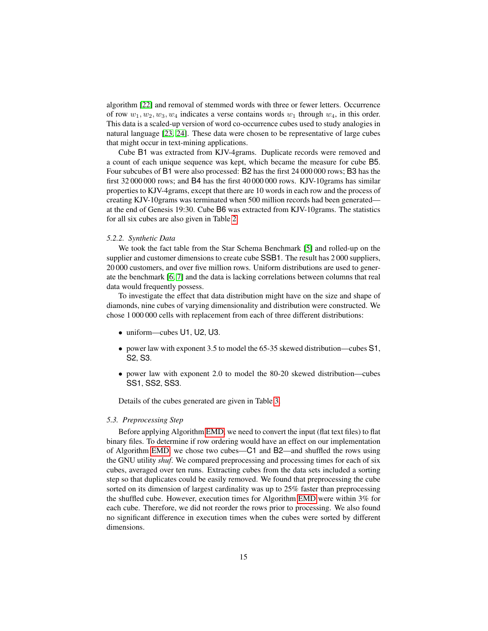algorithm [\[22\]](#page-26-3) and removal of stemmed words with three or fewer letters. Occurrence of row  $w_1, w_2, w_3, w_4$  indicates a verse contains words  $w_1$  through  $w_4$ , in this order. This data is a scaled-up version of word co-occurrence cubes used to study analogies in natural language [\[23,](#page-26-4) [24\]](#page-26-5). These data were chosen to be representative of large cubes that might occur in text-mining applications.

Cube B1 was extracted from KJV-4grams. Duplicate records were removed and a count of each unique sequence was kept, which became the measure for cube B5. Four subcubes of B1 were also processed: B2 has the first 24 000 000 rows; B3 has the first 32 000 000 rows; and B4 has the first 40 000 000 rows. KJV-10grams has similar properties to KJV-4grams, except that there are 10 words in each row and the process of creating KJV-10grams was terminated when 500 million records had been generated at the end of Genesis 19:30. Cube B6 was extracted from KJV-10grams. The statistics for all six cubes are also given in Table [2.](#page-13-1)

#### *5.2.2. Synthetic Data*

We took the fact table from the Star Schema Benchmark [\[5\]](#page-25-0) and rolled-up on the supplier and customer dimensions to create cube SSB1. The result has 2 000 suppliers, 20 000 customers, and over five million rows. Uniform distributions are used to generate the benchmark [\[6,](#page-25-1) [7\]](#page-25-2) and the data is lacking correlations between columns that real data would frequently possess.

To investigate the effect that data distribution might have on the size and shape of diamonds, nine cubes of varying dimensionality and distribution were constructed. We chose 1 000 000 cells with replacement from each of three different distributions:

- uniform—cubes U1, U2, U3.
- power law with exponent 3.5 to model the 65-35 skewed distribution—cubes S1, S2, S3.
- power law with exponent 2.0 to model the 80-20 skewed distribution—cubes SS1, SS2, SS3.

Details of the cubes generated are given in Table [3.](#page-15-0)

#### *5.3. Preprocessing Step*

Before applying Algorithm [EMD,](#page-10-0) we need to convert the input (flat text files) to flat binary files. To determine if row ordering would have an effect on our implementation of Algorithm [EMD,](#page-10-0) we chose two cubes—C1 and B2—and shuffled the rows using the GNU utility *shuf*. We compared preprocessing and processing times for each of six cubes, averaged over ten runs. Extracting cubes from the data sets included a sorting step so that duplicates could be easily removed. We found that preprocessing the cube sorted on its dimension of largest cardinality was up to 25% faster than preprocessing the shuffled cube. However, execution times for Algorithm [EMD](#page-10-0) were within 3% for each cube. Therefore, we did not reorder the rows prior to processing. We also found no significant difference in execution times when the cubes were sorted by different dimensions.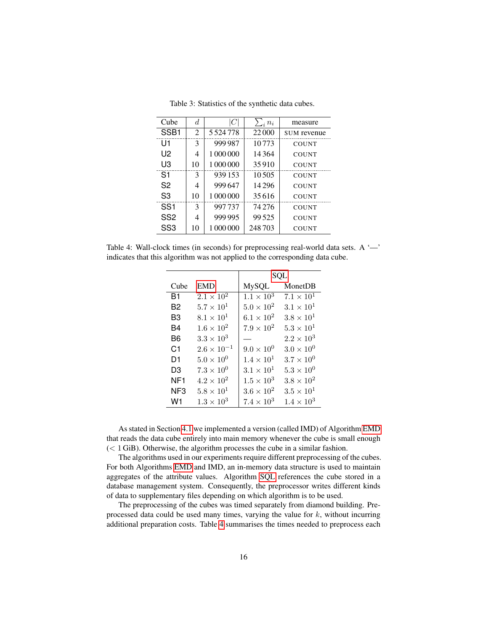<span id="page-15-0"></span>

| d  | C           | $n_i$    | measure      |
|----|-------------|----------|--------------|
| 2  | 5 5 24 7 78 | 22 000   | SUM revenue  |
| 3  | 999 987     | 10773    | <b>COUNT</b> |
| 4  | 1 000 000   | 14364    | <b>COUNT</b> |
| 10 | 1 000 000   | 35910    | <b>COUNT</b> |
| 3  | 939 153     | 10.505   | <b>COUNT</b> |
| 4  | 999647      | 14 2 9 6 | <b>COUNT</b> |
| 10 | 1 000 000   | 35616    | <b>COUNT</b> |
| 3  | 997737      | 74 276   | <b>COUNT</b> |
| 4  | 999 995     | 99525    | <b>COUNT</b> |
| 10 | 1 000 000   | 248703   | <b>COUNT</b> |
|    |             |          |              |

Table 3: Statistics of the synthetic data cubes.

<span id="page-15-1"></span>Table 4: Wall-clock times (in seconds) for preprocessing real-world data sets. A  $\sim$ indicates that this algorithm was not applied to the corresponding data cube.

|                |                      | SQL                 |                     |  |
|----------------|----------------------|---------------------|---------------------|--|
| Cube           | <b>EMD</b>           | <b>MySQL</b>        | MonetDB             |  |
| B1             | $2.1 \times 10^{2}$  | $1.1 \times 10^{3}$ | $7.1 \times 10^{1}$ |  |
| B2             | $5.7 \times 10^{1}$  | $5.0 \times 10^{2}$ | $3.1 \times 10^{1}$ |  |
| B3             | $8.1 \times 10^{1}$  | $6.1 \times 10^2$   | $3.8 \times 10^{1}$ |  |
| B4             | $1.6 \times 10^{2}$  | $7.9 \times 10^{2}$ | $5.3 \times 10^{1}$ |  |
| B6             | $3.3 \times 10^3$    |                     | $2.2 \times 10^{3}$ |  |
| C <sub>1</sub> | $2.6 \times 10^{-1}$ | $9.0 \times 10^{0}$ | $3.0 \times 10^{0}$ |  |
| D1             | $5.0 \times 10^{0}$  | $1.4 \times 10^{1}$ | $3.7 \times 10^{0}$ |  |
| D3             | $7.3 \times 10^{0}$  | $3.1 \times 10^{1}$ | $5.3 \times 10^{0}$ |  |
| NF1            | $4.2 \times 10^{2}$  | $1.5 \times 10^3$   | $3.8 \times 10^{2}$ |  |
| NF3            | $5.8 \times 10^{1}$  | $3.6 \times 10^{2}$ | $3.5 \times 10^{1}$ |  |
| W1             | $1.3 \times 10^{3}$  | $7.4 \times 10^3$   | $1.4 \times 10^{3}$ |  |

As stated in Section [4.1](#page-8-0) we implemented a version (called IMD) of Algorithm [EMD](#page-10-0) that reads the data cube entirely into main memory whenever the cube is small enough  $(< 1$  GiB). Otherwise, the algorithm processes the cube in a similar fashion.

The algorithms used in our experiments require different preprocessing of the cubes. For both Algorithms [EMD](#page-10-0) and IMD, an in-memory data structure is used to maintain aggregates of the attribute values. Algorithm [SQL](#page-11-0) references the cube stored in a database management system. Consequently, the preprocessor writes different kinds of data to supplementary files depending on which algorithm is to be used.

The preprocessing of the cubes was timed separately from diamond building. Preprocessed data could be used many times, varying the value for  $k$ , without incurring additional preparation costs. Table [4](#page-15-1) summarises the times needed to preprocess each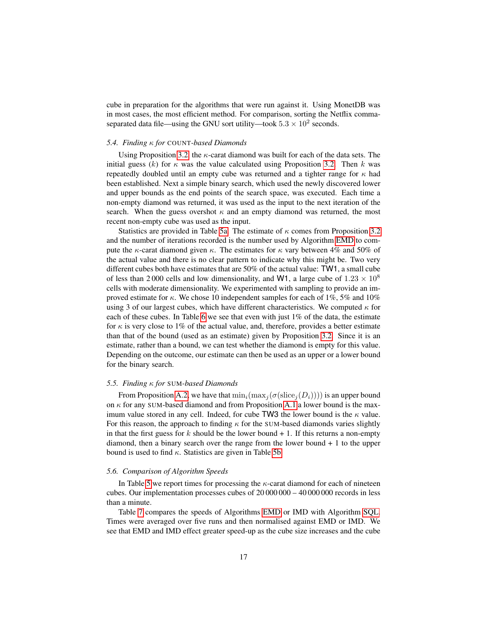cube in preparation for the algorithms that were run against it. Using MonetDB was in most cases, the most efficient method. For comparison, sorting the Netflix commaseparated data file—using the GNU sort utility—took  $5.3 \times 10^2$  seconds.

#### <span id="page-16-0"></span>*5.4. Finding* κ *for* COUNT*-based Diamonds*

Using Proposition [3.2,](#page-7-2) the  $\kappa$ -carat diamond was built for each of the data sets. The initial guess (k) for  $\kappa$  was the value calculated using Proposition [3.2.](#page-7-2) Then k was repeatedly doubled until an empty cube was returned and a tighter range for  $\kappa$  had been established. Next a simple binary search, which used the newly discovered lower and upper bounds as the end points of the search space, was executed. Each time a non-empty diamond was returned, it was used as the input to the next iteration of the search. When the guess overshot  $\kappa$  and an empty diamond was returned, the most recent non-empty cube was used as the input.

Statistics are provided in Table [5a.](#page-17-0) The estimate of  $\kappa$  comes from Proposition [3.2](#page-7-2) and the number of iterations recorded is the number used by Algorithm [EMD](#page-10-0) to compute the  $\kappa$ -carat diamond given  $\kappa$ . The estimates for  $\kappa$  vary between 4% and 50% of the actual value and there is no clear pattern to indicate why this might be. Two very different cubes both have estimates that are 50% of the actual value: TW1, a small cube of less than 2 000 cells and low dimensionality, and W1, a large cube of  $1.23 \times 10^8$ cells with moderate dimensionality. We experimented with sampling to provide an improved estimate for  $\kappa$ . We chose 10 independent samples for each of 1%, 5% and 10% using 3 of our largest cubes, which have different characteristics. We computed  $\kappa$  for each of these cubes. In Table [6](#page-18-0) we see that even with just 1% of the data, the estimate for  $\kappa$  is very close to 1% of the actual value, and, therefore, provides a better estimate than that of the bound (used as an estimate) given by Proposition [3.2.](#page-7-2) Since it is an estimate, rather than a bound, we can test whether the diamond is empty for this value. Depending on the outcome, our estimate can then be used as an upper or a lower bound for the binary search.

### *5.5. Finding* κ *for* SUM*-based Diamonds*

From Proposition [A.2,](#page-27-1) we have that  $\min_i(\max_i (\sigma(\text{slice}_i(D_i))))$  is an upper bound on  $\kappa$  for any SUM-based diamond and from Proposition [A.1](#page-27-2) a lower bound is the maximum value stored in any cell. Indeed, for cube TW3 the lower bound is the  $\kappa$  value. For this reason, the approach to finding  $\kappa$  for the SUM-based diamonds varies slightly in that the first guess for  $k$  should be the lower bound  $+ 1$ . If this returns a non-empty diamond, then a binary search over the range from the lower bound + 1 to the upper bound is used to find  $\kappa$ . Statistics are given in Table [5b.](#page-17-1)

#### *5.6. Comparison of Algorithm Speeds*

In Table [5](#page-17-2) we report times for processing the  $\kappa$ -carat diamond for each of nineteen cubes. Our implementation processes cubes of 20 000 000 – 40 000 000 records in less than a minute.

Table [7](#page-19-0) compares the speeds of Algorithms [EMD](#page-10-0) or IMD with Algorithm [SQL.](#page-11-0) Times were averaged over five runs and then normalised against EMD or IMD. We see that EMD and IMD effect greater speed-up as the cube size increases and the cube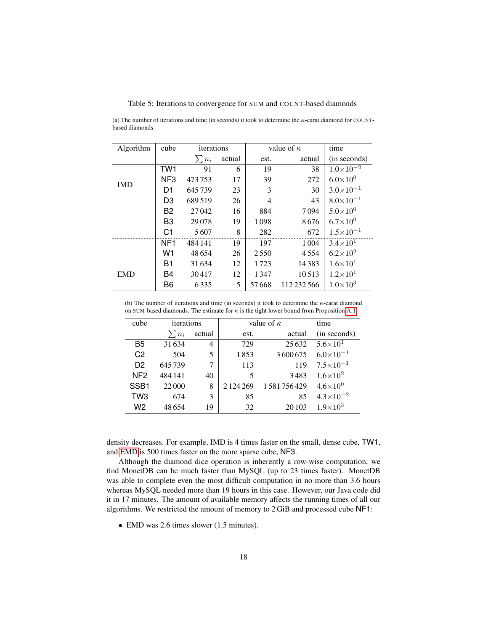#### <span id="page-17-2"></span>Table 5: Iterations to convergence for SUM and COUNT-based diamonds

<span id="page-17-0"></span>(a) The number of iterations and time (in seconds) it took to determine the  $\kappa$ -carat diamond for COUNTbased diamonds.

| Algorithm  | cube            | iterations |        |       | value of $\kappa$ | time                 |
|------------|-----------------|------------|--------|-------|-------------------|----------------------|
|            |                 | $n_i$      | actual | est.  | actual            | (in seconds)         |
|            | TW1             | 91         | 6      | 19    | 38                | $1.0\times10^{-2}$   |
| <b>IMD</b> | NF <sub>3</sub> | 473753     | 17     | 39    | 272               | $6.0\times10^{0}$    |
|            | D1              | 645739     | 23     | 3     | 30                | $3.0\times10^{-1}$   |
|            | D <sub>3</sub>  | 689519     | 26     | 4     | 43                | $8.0\times10^{-1}$   |
|            | B <sub>2</sub>  | 27042      | 16     | 884   | 7094              | $5.0\times10^{0}$    |
|            | B <sub>3</sub>  | 29078      | 19     | 1098  | 8676              | $6.7\times10^{0}$    |
|            | C <sub>1</sub>  | 5607       | 8      | 282   | 672               | $1.5 \times 10^{-1}$ |
|            | NF <sub>1</sub> | 484 141    | 19     | 197   | 1 0 0 4           | $3.4 \times 10^{1}$  |
|            | W <sub>1</sub>  | 48654      | 26     | 2550  | 4554              | $6.2\times10^2$      |
|            | <b>B1</b>       | 31634      | 12     | 1723  | 14383             | $1.6\times10^{1}$    |
| <b>EMD</b> | B4              | 30417      | 12     | 1347  | 10513             | $1.2\times10^{1}$    |
|            | B <sub>6</sub>  | 6335       | 5      | 57668 | 112 232 566       | $1.0\times10^{3}$    |

<span id="page-17-1"></span>(b) The number of iterations and time (in seconds) it took to determine the  $\kappa$ -carat diamond on SUM-based diamonds. The estimate for  $\kappa$  is the tight lower bound from Proposition [A.1.](#page-27-2)

| cube             | iterations |                | value of $\kappa$ | time       |                      |
|------------------|------------|----------------|-------------------|------------|----------------------|
|                  | $\sum n_i$ | actual         | est.              | actual     | (in seconds)         |
| B <sub>5</sub>   | 31634      | $\overline{4}$ | 729               | 25 6 32    | $5.6 \times 10^{1}$  |
| C <sub>2</sub>   | 504        | 5              | 1853              | 3600675    | $6.0 \times 10^{-1}$ |
| D <sub>2</sub>   | 645739     | 7              | 113               | 119        | $7.5 \times 10^{-1}$ |
| NF <sub>2</sub>  | 484 141    | 40             | 5                 | 3483       | $1.6 \times 10^{2}$  |
| SSB <sub>1</sub> | 22000      | 8              | 2 1 2 4 2 6 9     | 1581756429 | $4.6 \times 10^{0}$  |
| TW <sub>3</sub>  | 674        | 3              | 85                | 85         | $4.3 \times 10^{-2}$ |
| W2               | 48654      | 19             | 32                | 20 10 3    | $1.9 \times 10^{3}$  |

density decreases. For example, IMD is 4 times faster on the small, dense cube, TW1, and [EMD](#page-10-0) is 500 times faster on the more sparse cube, NF3.

Although the diamond dice operation is inherently a row-wise computation, we find MonetDB can be much faster than MySQL (up to 23 times faster). MonetDB was able to complete even the most difficult computation in no more than 3.6 hours whereas MySQL needed more than 19 hours in this case. However, our Java code did it in 17 minutes. The amount of available memory affects the running times of all our algorithms. We restricted the amount of memory to 2 GiB and processed cube NF1:

• EMD was 2.6 times slower (1.5 minutes).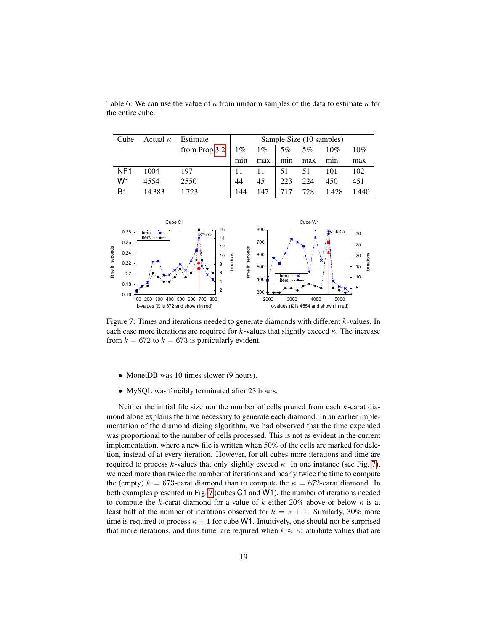| Cube            | Actual $\kappa$ | Estimate      | Sample Size (10 samples) |                       |     |     |        |        |
|-----------------|-----------------|---------------|--------------------------|-----------------------|-----|-----|--------|--------|
|                 |                 | from Prop 3.2 |                          | $1\%$ $1\%$   5\% 5\% |     |     | $10\%$ | $10\%$ |
|                 |                 |               | min                      | max                   | min | max | min    | max    |
| NF <sub>1</sub> | 1004            | 197           |                          | 11                    | 51  | 51  | 101    | 102    |
| W1              | 4554            | 2550          | 44                       | 45                    | 223 | 224 | 450    | 451    |
| B1              | 14383           | 1.723         | 144                      | 147                   | 717 | 728 | 1428   | 1440   |

<span id="page-18-0"></span>Table 6: We can use the value of  $\kappa$  from uniform samples of the data to estimate  $\kappa$  for the entire cube.

<span id="page-18-1"></span>

Figure 7: Times and iterations needed to generate diamonds with different k-values. In each case more iterations are required for k-values that slightly exceed  $\kappa$ . The increase from  $k = 672$  to  $k = 673$  is particularly evident.

- MonetDB was 10 times slower (9 hours).
- MySQL was forcibly terminated after 23 hours.

Neither the initial file size nor the number of cells pruned from each k-carat diamond alone explains the time necessary to generate each diamond. In an earlier implementation of the diamond dicing algorithm, we had observed that the time expended was proportional to the number of cells processed. This is not as evident in the current implementation, where a new file is written when 50% of the cells are marked for deletion, instead of at every iteration. However, for all cubes more iterations and time are required to process k-values that only slightly exceed  $\kappa$ . In one instance (see Fig. [7\)](#page-18-1), we need more than twice the number of iterations and nearly twice the time to compute the (empty)  $k = 673$ -carat diamond than to compute the  $\kappa = 672$ -carat diamond. In both examples presented in Fig. [7](#page-18-1) (cubes C1 and W1), the number of iterations needed to compute the k-carat diamond for a value of k either 20% above or below  $\kappa$  is at least half of the number of iterations observed for  $k = \kappa + 1$ . Similarly, 30% more time is required to process  $\kappa + 1$  for cube W1. Intuitively, one should not be surprised that more iterations, and thus time, are required when  $k \approx \kappa$ : attribute values that are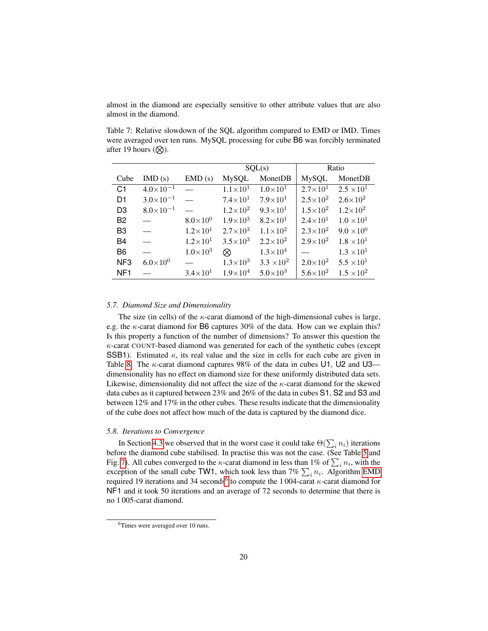almost in the diamond are especially sensitive to other attribute values that are also almost in the diamond.

<span id="page-19-0"></span>Table 7: Relative slowdown of the SQL algorithm compared to EMD or IMD. Times were averaged over ten runs. MySQL processing for cube B6 was forcibly terminated after 19 hours  $(\mathcal{R})$ .

|                 |                          |                          | SQL(s)              |                     |                              | Ratio               |
|-----------------|--------------------------|--------------------------|---------------------|---------------------|------------------------------|---------------------|
| Cube            | IMD(s)                   | EMD(s)                   | <b>MySQL</b>        | MonetDB             | <b>MySQL</b>                 | MonetDB             |
| C <sub>1</sub>  | $4.0 \times 10^{-1}$ —   |                          | $1.1 \times 10^{1}$ | $1.0\times10^{1}$   | $\overline{2.7\times}10^{1}$ | $2.5 \times 10^{1}$ |
| D <sub>1</sub>  | $3.0 \times 10^{-1}$     | $\overline{\phantom{0}}$ | $7.4\times10^{1}$   | $7.9\times10^{1}$   | $2.5 \times 10^{2}$          | $2.6 \times 10^{2}$ |
| D <sub>3</sub>  | $8.0\times10^{-1}$       | $\equiv$                 | $1.2\times10^{2}$   | $9.3\times10^{1}$   | $1.5 \times 10^{2}$          | $1.2\times10^{2}$   |
| B <sub>2</sub>  | $\equiv$                 | $8.0\times10^{0}$        | $1.9\times10^{3}$   | $8.2\times10^{1}$   | $2.4 \times 10^{1}$          | $1.0 \times 10^{1}$ |
| B <sub>3</sub>  | $\equiv$                 | $1.2 \times 10^{1}$      | $2.7\times10^{3}$   | $1.1 \times 10^{2}$ | $2.3 \times 10^{2}$          | $9.0 \times 10^{0}$ |
| <b>B4</b>       | $\overline{\phantom{0}}$ | $1.2\times10^{1}$        | $3.5 \times 10^3$   | $2.2\times10^{2}$   | $2.9\times10^{2}$            | $1.8 \times 10^{1}$ |
| B <sub>6</sub>  | $\overline{\phantom{a}}$ | $1.0\times10^{3}$        | ⊗                   | $1.3 \times 10^{4}$ |                              | $1.3 \times 10^{1}$ |
| NF <sub>3</sub> | $6.0\times10^{0}$        |                          | $1.3 \times 10^3$   | $3.3 \times 10^{2}$ | $2.0\times10^{2}$            | $5.5 \times 10^{1}$ |
| NF <sub>1</sub> |                          | $3.4\times10^{1}$        | $1.9\times10^{4}$   | $5.0\times10^{3}$   | $5.6 \times 10^{2}$          | $1.5 \times 10^{2}$ |

#### *5.7. Diamond Size and Dimensionality*

The size (in cells) of the  $\kappa$ -carat diamond of the high-dimensional cubes is large, e.g. the  $\kappa$ -carat diamond for B6 captures 30% of the data. How can we explain this? Is this property a function of the number of dimensions? To answer this question the κ-carat COUNT-based diamond was generated for each of the synthetic cubes (except SSB1). Estimated  $\kappa$ , its real value and the size in cells for each cube are given in Table [8.](#page-20-0) The  $\kappa$ -carat diamond captures 98% of the data in cubes U1, U2 and U3 dimensionality has no effect on diamond size for these uniformly distributed data sets. Likewise, dimensionality did not affect the size of the  $\kappa$ -carat diamond for the skewed data cubes as it captured between 23% and 26% of the data in cubes S1, S2 and S3 and between 12% and 17% in the other cubes. These results indicate that the dimensionality of the cube does not affect how much of the data is captured by the diamond dice.

#### *5.8. Iterations to Convergence*

In Section [4.3](#page-10-1) we observed that in the worst case it could take  $\Theta(\sum_i n_i)$  iterations before the diamond cube stabilised. In practise this was not the case. (See Table [5](#page-17-2) and Fig. [7\)](#page-18-1). All cubes converged to the  $\kappa$ -carat diamond in less than 1% of  $\sum_i n_i$ , with the exception of the small cube TW1, which took less than  $7\%$   $\sum_i n_i$ . Algorithm [EMD](#page-10-0) required 19 iterations and 34 seconds<sup>[6](#page-0-0)</sup> to compute the 1004-carat  $\kappa$ -carat diamond for NF1 and it took 50 iterations and an average of 72 seconds to determine that there is no 1 005-carat diamond.

<sup>&</sup>lt;sup>6</sup>Times were averaged over 10 runs.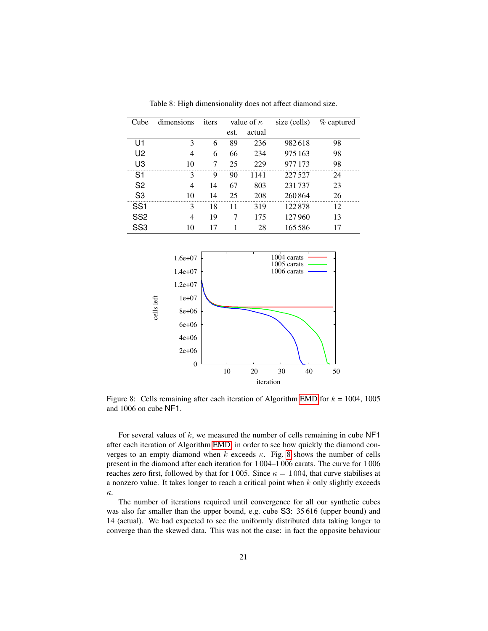<span id="page-20-0"></span>

| Cube            | dimensions | iters | value of $\kappa$ |        | size (cells) | % captured |  |
|-----------------|------------|-------|-------------------|--------|--------------|------------|--|
|                 |            |       | est.              | actual |              |            |  |
| U1              | 3          | 6     | 89                | 236    | 982618       | 98         |  |
| U <sub>2</sub>  | 4          | 6     | 66                | 234    | 975 163      | 98         |  |
| U3              | 10         | 7     | 25                | 229    | 977 173      | 98         |  |
| S <sub>1</sub>  | 3          | 9     | 90                | 1141   | 227527       | 24         |  |
| S <sub>2</sub>  | 4          | 14    | 67                | 803    | 231737       | 23         |  |
| S <sub>3</sub>  | 10         | 14    | 25                | 208    | 260864       | 26         |  |
| SS <sub>1</sub> | 3          | 18    | 11                | 319    | 122878       | 12         |  |
| SS <sub>2</sub> | 4          | 19    | 7                 | 175    | 127960       | 13         |  |
| SS3             | 10         | 17    |                   | 28     | 165.586      | 17         |  |

Table 8: High dimensionality does not affect diamond size.

<span id="page-20-1"></span>

Figure 8: Cells remaining after each iteration of Algorithm [EMD](#page-10-0) for  $k = 1004$ , 1005 and 1006 on cube NF1.

For several values of  $k$ , we measured the number of cells remaining in cube  $NF1$ after each iteration of Algorithm [EMD,](#page-10-0) in order to see how quickly the diamond converges to an empty diamond when  $k$  exceeds  $\kappa$ . Fig. [8](#page-20-1) shows the number of cells present in the diamond after each iteration for 1 004–1 006 carats. The curve for 1 006 reaches zero first, followed by that for 1005. Since  $\kappa = 1004$ , that curve stabilises at a nonzero value. It takes longer to reach a critical point when  $k$  only slightly exceeds κ.

The number of iterations required until convergence for all our synthetic cubes was also far smaller than the upper bound, e.g. cube S3: 35 616 (upper bound) and 14 (actual). We had expected to see the uniformly distributed data taking longer to converge than the skewed data. This was not the case: in fact the opposite behaviour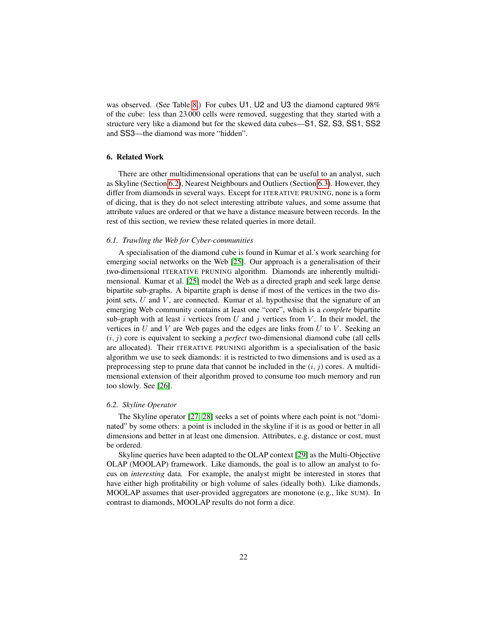was observed. (See Table [8.](#page-20-0)) For cubes U1, U2 and U3 the diamond captured 98% of the cube: less than 23 000 cells were removed, suggesting that they started with a structure very like a diamond but for the skewed data cubes—S1, S2, S3, SS1, SS2 and SS3—the diamond was more "hidden".

# 6. Related Work

There are other multidimensional operations that can be useful to an analyst, such as Skyline (Section [6.2\)](#page-21-0), Nearest Neighbours and Outliers (Section [6.3\)](#page-22-0). However, they differ from diamonds in several ways. Except for ITERATIVE PRUNING, none is a form of dicing, that is they do not select interesting attribute values, and some assume that attribute values are ordered or that we have a distance measure between records. In the rest of this section, we review these related queries in more detail.

### *6.1. Trawling the Web for Cyber-communities*

A specialisation of the diamond cube is found in Kumar et al.'s work searching for emerging social networks on the Web [\[25\]](#page-26-6). Our approach is a generalisation of their two-dimensional ITERATIVE PRUNING algorithm. Diamonds are inherently multidimensional. Kumar et al. [\[25\]](#page-26-6) model the Web as a directed graph and seek large dense bipartite sub-graphs. A bipartite graph is dense if most of the vertices in the two disjoint sets,  $U$  and  $V$ , are connected. Kumar et al. hypothesise that the signature of an emerging Web community contains at least one "core", which is a *complete* bipartite sub-graph with at least i vertices from  $U$  and j vertices from  $V$ . In their model, the vertices in  $U$  and  $V$  are Web pages and the edges are links from  $U$  to  $V$ . Seeking an  $(i, j)$  core is equivalent to seeking a *perfect* two-dimensional diamond cube (all cells are allocated). Their ITERATIVE PRUNING algorithm is a specialisation of the basic algorithm we use to seek diamonds: it is restricted to two dimensions and is used as a preprocessing step to prune data that cannot be included in the  $(i, j)$  cores. A multidimensional extension of their algorithm proved to consume too much memory and run too slowly. See [\[26\]](#page-26-7).

#### <span id="page-21-0"></span>*6.2. Skyline Operator*

The Skyline operator [\[27,](#page-26-8) [28\]](#page-26-9) seeks a set of points where each point is not "dominated" by some others: a point is included in the skyline if it is as good or better in all dimensions and better in at least one dimension. Attributes, e.g. distance or cost, must be ordered.

Skyline queries have been adapted to the OLAP context [\[29\]](#page-26-10) as the Multi-Objective OLAP (MOOLAP) framework. Like diamonds, the goal is to allow an analyst to focus on *interesting* data. For example, the analyst might be interested in stores that have either high profitability or high volume of sales (ideally both). Like diamonds, MOOLAP assumes that user-provided aggregators are monotone (e.g., like SUM). In contrast to diamonds, MOOLAP results do not form a dice.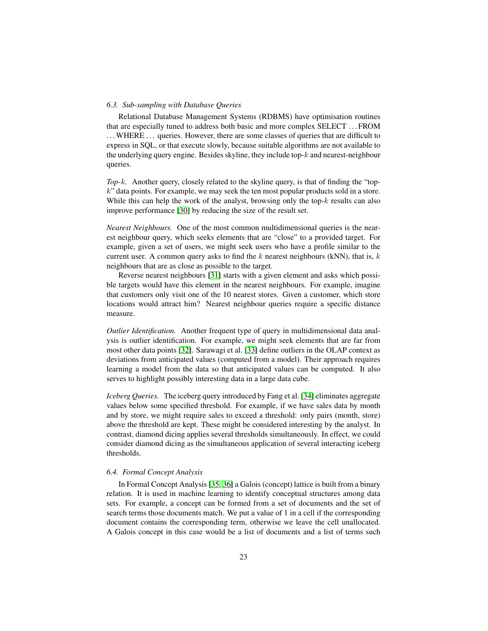### <span id="page-22-0"></span>*6.3. Sub-sampling with Database Queries*

Relational Database Management Systems (RDBMS) have optimisation routines that are especially tuned to address both basic and more complex SELECT . . . FROM ... WHERE ... queries. However, there are some classes of queries that are difficult to express in SQL, or that execute slowly, because suitable algorithms are not available to the underlying query engine. Besides skyline, they include top- $k$  and nearest-neighbour queries.

*Top-*k*.* Another query, closely related to the skyline query, is that of finding the "top $k$ " data points. For example, we may seek the ten most popular products sold in a store. While this can help the work of the analyst, browsing only the top- $k$  results can also improve performance [\[30\]](#page-26-11) by reducing the size of the result set.

*Nearest Neighbours.* One of the most common multidimensional queries is the nearest neighbour query, which seeks elements that are "close" to a provided target. For example, given a set of users, we might seek users who have a profile similar to the current user. A common query asks to find the k nearest neighbours (kNN), that is,  $k$ neighbours that are as close as possible to the target.

Reverse nearest neighbours [\[31\]](#page-26-12) starts with a given element and asks which possible targets would have this element in the nearest neighbours. For example, imagine that customers only visit one of the 10 nearest stores. Given a customer, which store locations would attract him? Nearest neighbour queries require a specific distance measure.

*Outlier Identification.* Another frequent type of query in multidimensional data analysis is outlier identification. For example, we might seek elements that are far from most other data points [\[32\]](#page-27-3). Sarawagi et al. [\[33\]](#page-27-4) define outliers in the OLAP context as deviations from anticipated values (computed from a model). Their approach requires learning a model from the data so that anticipated values can be computed. It also serves to highlight possibly interesting data in a large data cube.

*Iceberg Queries.* The iceberg query introduced by Fang et al. [\[34\]](#page-27-5) eliminates aggregate values below some specified threshold. For example, if we have sales data by month and by store, we might require sales to exceed a threshold: only pairs (month, store) above the threshold are kept. These might be considered interesting by the analyst. In contrast, diamond dicing applies several thresholds simultaneously. In effect, we could consider diamond dicing as the simultaneous application of several interacting iceberg thresholds.

### *6.4. Formal Concept Analysis*

In Formal Concept Analysis [\[35,](#page-27-6) [36\]](#page-27-7) a Galois (concept) lattice is built from a binary relation. It is used in machine learning to identify conceptual structures among data sets. For example, a concept can be formed from a set of documents and the set of search terms those documents match. We put a value of 1 in a cell if the corresponding document contains the corresponding term, otherwise we leave the cell unallocated. A Galois concept in this case would be a list of documents and a list of terms such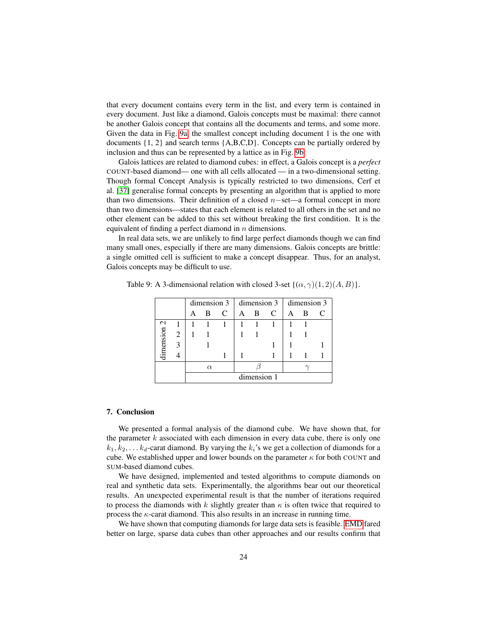that every document contains every term in the list, and every term is contained in every document. Just like a diamond, Galois concepts must be maximal: there cannot be another Galois concept that contains all the documents and terms, and some more. Given the data in Fig. [9a,](#page-24-4) the smallest concept including document 1 is the one with documents  $\{1, 2\}$  and search terms  $\{A, B, C, D\}$ . Concepts can be partially ordered by inclusion and thus can be represented by a lattice as in Fig. [9b](#page-24-5)

Galois lattices are related to diamond cubes: in effect, a Galois concept is a *perfect* COUNT-based diamond— one with all cells allocated — in a two-dimensional setting. Though formal Concept Analysis is typically restricted to two dimensions, Cerf et al. [\[37\]](#page-27-8) generalise formal concepts by presenting an algorithm that is applied to more than two dimensions. Their definition of a closed n−set—a formal concept in more than two dimensions—states that each element is related to all others in the set and no other element can be added to this set without breaking the first condition. It is the equivalent of finding a perfect diamond in n dimensions.

In real data sets, we are unlikely to find large perfect diamonds though we can find many small ones, especially if there are many dimensions. Galois concepts are brittle: a single omitted cell is sufficient to make a concept disappear. Thus, for an analyst, Galois concepts may be difficult to use.

|                          |               |             |   |               |              |   |   | dimension $3 \mid$ dimension $3 \mid$ dimension $3 \mid$ |   |  |
|--------------------------|---------------|-------------|---|---------------|--------------|---|---|----------------------------------------------------------|---|--|
|                          |               |             | B | $\mathcal{C}$ | $\mathbf{A}$ | B | C |                                                          | B |  |
| $\mathbf 2$<br>dimension |               |             |   |               |              |   |   |                                                          |   |  |
|                          | 2             |             |   |               |              |   |   |                                                          |   |  |
|                          | $\mathcal{E}$ |             |   |               |              |   |   |                                                          |   |  |
|                          |               |             |   |               |              |   |   |                                                          |   |  |
|                          |               | $\alpha$    |   |               |              |   |   |                                                          |   |  |
|                          |               | dimension 1 |   |               |              |   |   |                                                          |   |  |

Table 9: A 3-dimensional relation with closed 3-set  $\{(\alpha, \gamma)(1, 2)(A, B)\}.$ 

### 7. Conclusion

We presented a formal analysis of the diamond cube. We have shown that, for the parameter  $k$  associated with each dimension in every data cube, there is only one  $k_1, k_2, \ldots k_d$ -carat diamond. By varying the  $k_i$ 's we get a collection of diamonds for a cube. We established upper and lower bounds on the parameter  $\kappa$  for both COUNT and SUM-based diamond cubes.

We have designed, implemented and tested algorithms to compute diamonds on real and synthetic data sets. Experimentally, the algorithms bear out our theoretical results. An unexpected experimental result is that the number of iterations required to process the diamonds with k slightly greater than  $\kappa$  is often twice that required to process the  $\kappa$ -carat diamond. This also results in an increase in running time.

We have shown that computing diamonds for large data sets is feasible. [EMD](#page-10-0) fared better on large, sparse data cubes than other approaches and our results confirm that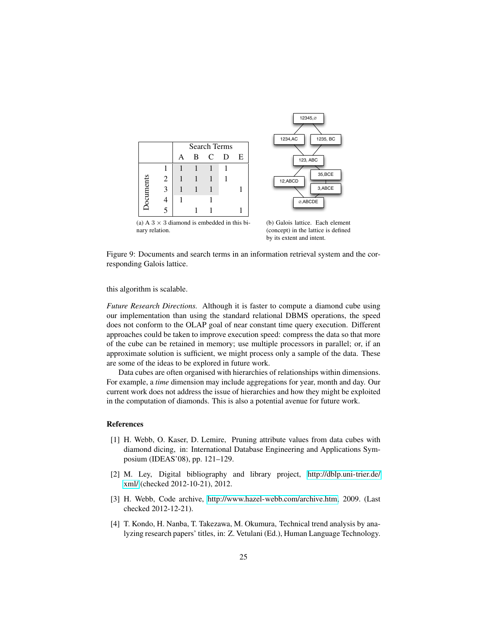<span id="page-24-4"></span>



(a) A  $3 \times 3$  diamond is embedded in this binary relation.

<span id="page-24-5"></span>(b) Galois lattice. Each element (concept) in the lattice is defined by its extent and intent.

Figure 9: Documents and search terms in an information retrieval system and the corresponding Galois lattice.

this algorithm is scalable.

*Future Research Directions.* Although it is faster to compute a diamond cube using our implementation than using the standard relational DBMS operations, the speed does not conform to the OLAP goal of near constant time query execution. Different approaches could be taken to improve execution speed: compress the data so that more of the cube can be retained in memory; use multiple processors in parallel; or, if an approximate solution is sufficient, we might process only a sample of the data. These are some of the ideas to be explored in future work.

Data cubes are often organised with hierarchies of relationships within dimensions. For example, a *time* dimension may include aggregations for year, month and day. Our current work does not address the issue of hierarchies and how they might be exploited in the computation of diamonds. This is also a potential avenue for future work.

### References

- <span id="page-24-3"></span>[1] H. Webb, O. Kaser, D. Lemire, Pruning attribute values from data cubes with diamond dicing, in: International Database Engineering and Applications Symposium (IDEAS'08), pp. 121–129.
- <span id="page-24-0"></span>[2] M. Ley, Digital bibliography and library project, [http://dblp.uni-trier.de/](http://dblp.uni-trier.de/xml/) [xml/](http://dblp.uni-trier.de/xml/) (checked 2012-10-21), 2012.
- <span id="page-24-1"></span>[3] H. Webb, Code archive, [http://www.hazel-webb.com/archive.htm,](http://www.hazel-webb.com/archive.htm) 2009. (Last checked 2012-12-21).
- <span id="page-24-2"></span>[4] T. Kondo, H. Nanba, T. Takezawa, M. Okumura, Technical trend analysis by analyzing research papers' titles, in: Z. Vetulani (Ed.), Human Language Technology.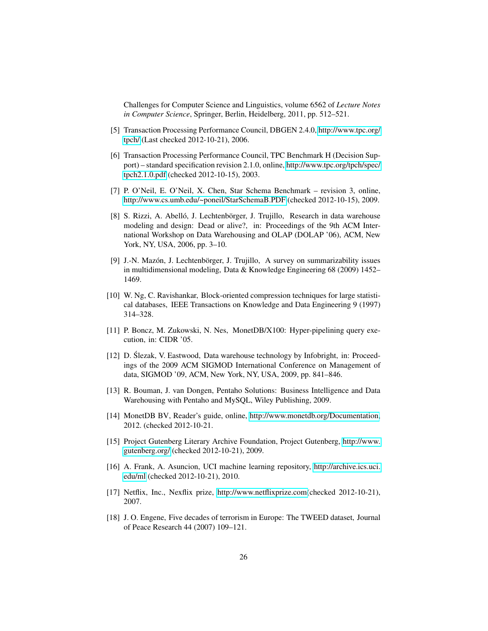Challenges for Computer Science and Linguistics, volume 6562 of *Lecture Notes in Computer Science*, Springer, Berlin, Heidelberg, 2011, pp. 512–521.

- <span id="page-25-0"></span>[5] Transaction Processing Performance Council, DBGEN 2.4.0, [http://www.tpc.org/](http://www.tpc.org/tpch/) [tpch/](http://www.tpc.org/tpch/) (Last checked 2012-10-21), 2006.
- <span id="page-25-1"></span>[6] Transaction Processing Performance Council, TPC Benchmark H (Decision Support) – standard specification revision 2.1.0, online, [http://www.tpc.org/tpch/spec/](http://www.tpc.org/tpch/spec/tpch2.1.0.pdf) [tpch2.1.0.pdf](http://www.tpc.org/tpch/spec/tpch2.1.0.pdf) (checked 2012-10-15), 2003.
- <span id="page-25-2"></span>[7] P. O'Neil, E. O'Neil, X. Chen, Star Schema Benchmark – revision 3, online, <http://www.cs.umb.edu/~poneil/StarSchemaB.PDF> (checked 2012-10-15), 2009.
- <span id="page-25-3"></span>[8] S. Rizzi, A. Abelló, J. Lechtenbörger, J. Trujillo, Research in data warehouse modeling and design: Dead or alive?, in: Proceedings of the 9th ACM International Workshop on Data Warehousing and OLAP (DOLAP '06), ACM, New York, NY, USA, 2006, pp. 3–10.
- <span id="page-25-4"></span>[9] J.-N. Mazón, J. Lechtenbörger, J. Trujillo, A survey on summarizability issues in multidimensional modeling, Data & Knowledge Engineering 68 (2009) 1452– 1469.
- <span id="page-25-5"></span>[10] W. Ng, C. Ravishankar, Block-oriented compression techniques for large statistical databases, IEEE Transactions on Knowledge and Data Engineering 9 (1997) 314–328.
- <span id="page-25-6"></span>[11] P. Boncz, M. Zukowski, N. Nes, MonetDB/X100: Hyper-pipelining query execution, in: CIDR '05.
- <span id="page-25-7"></span>[12] D. Ślezak, V. Eastwood, Data warehouse technology by Infobright, in: Proceedings of the 2009 ACM SIGMOD International Conference on Management of data, SIGMOD '09, ACM, New York, NY, USA, 2009, pp. 841–846.
- <span id="page-25-8"></span>[13] R. Bouman, J. van Dongen, Pentaho Solutions: Business Intelligence and Data Warehousing with Pentaho and MySQL, Wiley Publishing, 2009.
- <span id="page-25-9"></span>[14] MonetDB BV, Reader's guide, online, [http://www.monetdb.org/Documentation,](http://www.monetdb.org/Documentation) 2012. (checked 2012-10-21.
- <span id="page-25-10"></span>[15] Project Gutenberg Literary Archive Foundation, Project Gutenberg, [http://www.](http://www.gutenberg.org/) [gutenberg.org/](http://www.gutenberg.org/) (checked 2012-10-21), 2009.
- <span id="page-25-11"></span>[16] A. Frank, A. Asuncion, UCI machine learning repository, [http://archive.ics.uci.](http://archive.ics.uci.edu/ml) [edu/ml](http://archive.ics.uci.edu/ml) (checked 2012-10-21), 2010.
- <span id="page-25-12"></span>[17] Netflix, Inc., Nexflix prize, [http://www.netflixprize.com\(](http://www.netflixprize.com)checked 2012-10-21), 2007.
- <span id="page-25-13"></span>[18] J. O. Engene, Five decades of terrorism in Europe: The TWEED dataset, Journal of Peace Research 44 (2007) 109–121.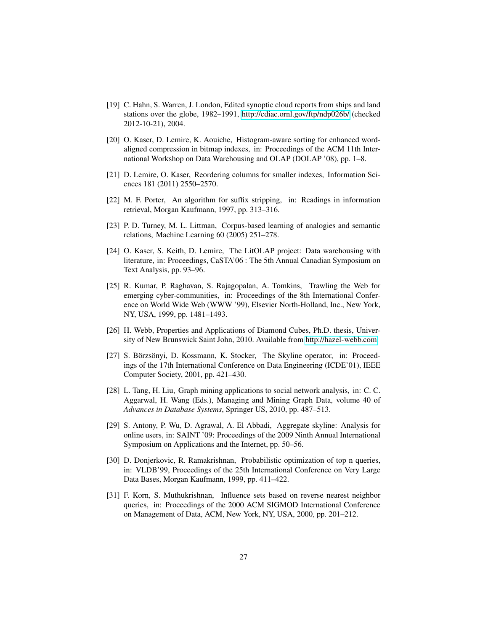- <span id="page-26-0"></span>[19] C. Hahn, S. Warren, J. London, Edited synoptic cloud reports from ships and land stations over the globe, 1982–1991,<http://cdiac.ornl.gov/ftp/ndp026b/> (checked 2012-10-21), 2004.
- <span id="page-26-1"></span>[20] O. Kaser, D. Lemire, K. Aouiche, Histogram-aware sorting for enhanced wordaligned compression in bitmap indexes, in: Proceedings of the ACM 11th International Workshop on Data Warehousing and OLAP (DOLAP '08), pp. 1–8.
- <span id="page-26-2"></span>[21] D. Lemire, O. Kaser, Reordering columns for smaller indexes, Information Sciences 181 (2011) 2550–2570.
- <span id="page-26-3"></span>[22] M. F. Porter, An algorithm for suffix stripping, in: Readings in information retrieval, Morgan Kaufmann, 1997, pp. 313–316.
- <span id="page-26-4"></span>[23] P. D. Turney, M. L. Littman, Corpus-based learning of analogies and semantic relations, Machine Learning 60 (2005) 251–278.
- <span id="page-26-5"></span>[24] O. Kaser, S. Keith, D. Lemire, The LitOLAP project: Data warehousing with literature, in: Proceedings, CaSTA'06 : The 5th Annual Canadian Symposium on Text Analysis, pp. 93–96.
- <span id="page-26-6"></span>[25] R. Kumar, P. Raghavan, S. Rajagopalan, A. Tomkins, Trawling the Web for emerging cyber-communities, in: Proceedings of the 8th International Conference on World Wide Web (WWW '99), Elsevier North-Holland, Inc., New York, NY, USA, 1999, pp. 1481–1493.
- <span id="page-26-7"></span>[26] H. Webb, Properties and Applications of Diamond Cubes, Ph.D. thesis, University of New Brunswick Saint John, 2010. Available from [http://hazel-webb.com.](http://hazel-webb.com)
- <span id="page-26-8"></span>[27] S. Börzsönyi, D. Kossmann, K. Stocker, The Skyline operator, in: Proceedings of the 17th International Conference on Data Engineering (ICDE'01), IEEE Computer Society, 2001, pp. 421–430.
- <span id="page-26-9"></span>[28] L. Tang, H. Liu, Graph mining applications to social network analysis, in: C. C. Aggarwal, H. Wang (Eds.), Managing and Mining Graph Data, volume 40 of *Advances in Database Systems*, Springer US, 2010, pp. 487–513.
- <span id="page-26-10"></span>[29] S. Antony, P. Wu, D. Agrawal, A. El Abbadi, Aggregate skyline: Analysis for online users, in: SAINT '09: Proceedings of the 2009 Ninth Annual International Symposium on Applications and the Internet, pp. 50–56.
- <span id="page-26-11"></span>[30] D. Donjerkovic, R. Ramakrishnan, Probabilistic optimization of top n queries, in: VLDB'99, Proceedings of the 25th International Conference on Very Large Data Bases, Morgan Kaufmann, 1999, pp. 411–422.
- <span id="page-26-12"></span>[31] F. Korn, S. Muthukrishnan, Influence sets based on reverse nearest neighbor queries, in: Proceedings of the 2000 ACM SIGMOD International Conference on Management of Data, ACM, New York, NY, USA, 2000, pp. 201–212.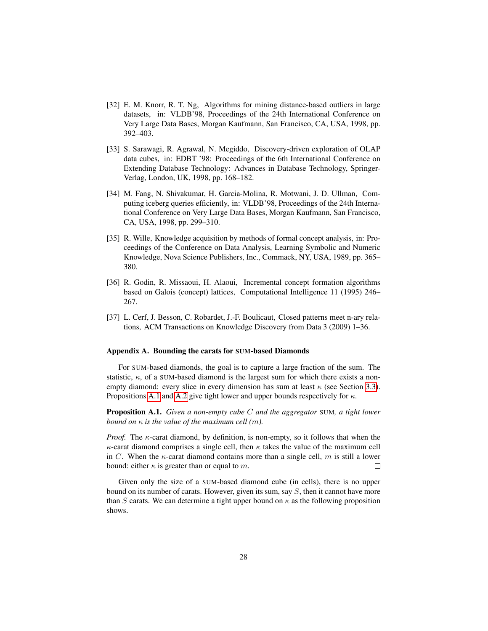- <span id="page-27-3"></span>[32] E. M. Knorr, R. T. Ng, Algorithms for mining distance-based outliers in large datasets, in: VLDB'98, Proceedings of the 24th International Conference on Very Large Data Bases, Morgan Kaufmann, San Francisco, CA, USA, 1998, pp. 392–403.
- <span id="page-27-4"></span>[33] S. Sarawagi, R. Agrawal, N. Megiddo, Discovery-driven exploration of OLAP data cubes, in: EDBT '98: Proceedings of the 6th International Conference on Extending Database Technology: Advances in Database Technology, Springer-Verlag, London, UK, 1998, pp. 168–182.
- <span id="page-27-5"></span>[34] M. Fang, N. Shivakumar, H. Garcia-Molina, R. Motwani, J. D. Ullman, Computing iceberg queries efficiently, in: VLDB'98, Proceedings of the 24th International Conference on Very Large Data Bases, Morgan Kaufmann, San Francisco, CA, USA, 1998, pp. 299–310.
- <span id="page-27-6"></span>[35] R. Wille, Knowledge acquisition by methods of formal concept analysis, in: Proceedings of the Conference on Data Analysis, Learning Symbolic and Numeric Knowledge, Nova Science Publishers, Inc., Commack, NY, USA, 1989, pp. 365– 380.
- <span id="page-27-7"></span>[36] R. Godin, R. Missaoui, H. Alaoui, Incremental concept formation algorithms based on Galois (concept) lattices, Computational Intelligence 11 (1995) 246– 267.
- <span id="page-27-8"></span>[37] L. Cerf, J. Besson, C. Robardet, J.-F. Boulicaut, Closed patterns meet n-ary relations, ACM Transactions on Knowledge Discovery from Data 3 (2009) 1–36.

#### <span id="page-27-0"></span>Appendix A. Bounding the carats for SUM-based Diamonds

For SUM-based diamonds, the goal is to capture a large fraction of the sum. The statistic,  $\kappa$ , of a SUM-based diamond is the largest sum for which there exists a nonempty diamond: every slice in every dimension has sum at least  $\kappa$  (see Section [3.3\)](#page-6-0). Propositions [A.1](#page-27-2) and [A.2](#page-27-1) give tight lower and upper bounds respectively for  $\kappa$ .

<span id="page-27-2"></span>Proposition A.1. *Given a non-empty cube* C *and the aggregator* SUM*, a tight lower bound on*  $\kappa$  *is the value of the maximum cell (m).* 

*Proof.* The  $\kappa$ -carat diamond, by definition, is non-empty, so it follows that when the  $\kappa$ -carat diamond comprises a single cell, then  $\kappa$  takes the value of the maximum cell in C. When the  $\kappa$ -carat diamond contains more than a single cell, m is still a lower bound: either  $\kappa$  is greater than or equal to m.  $\Box$ 

<span id="page-27-1"></span>Given only the size of a SUM-based diamond cube (in cells), there is no upper bound on its number of carats. However, given its sum, say  $S$ , then it cannot have more than S carats. We can determine a tight upper bound on  $\kappa$  as the following proposition shows.